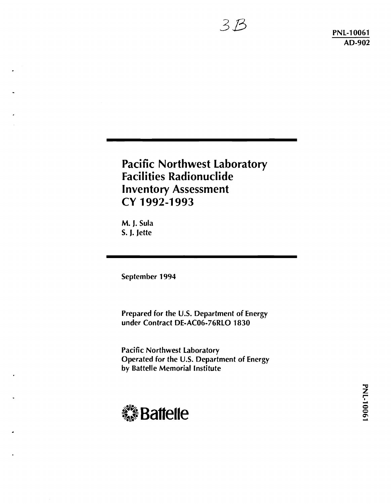## **Pacific Northwest Laboratory Facilities Radionuclide Inventory Assessment CY 1992-1 993**

 $3B$ 

**M. J. Sula S. J. Jette** 

**September 1994** 

**Prepared for the U.S. Department of Energy under Contract DE-AC06-76RLO 1830** 

**Pacific Northwest Laboratory Operated for the U.S. Department of Energy by Battelle Memorial Institute** 

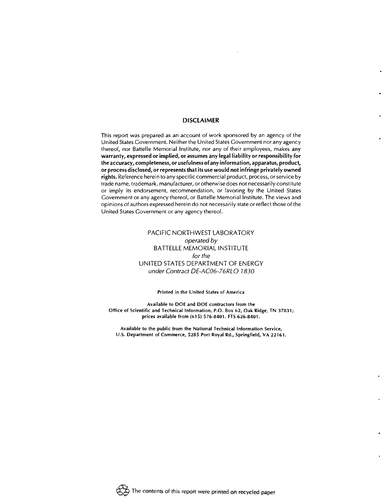#### DISCLAIMER

This report was prepared as an account of work sponsored by an agency of the United States Government. Neither the United States Government nor any agency thereof, nor Battelle Memorial Institute, nor any of their employees, makes any warranty, expressed or implied, or assumes any legal liability or responsibility for theaccuracy, completeness, or usefulnessof any information, apparatus, product, or process disclosed, or represents that its use would not infringe privately owned rights. Reference herein to any specific commercial product, process, or service by trade name, trademark, manufacturer, or otherwise does not necessarily constitute or imply its endorsement, recommendation, or favoring by the United States Government or any agency thereof, or Battelle Memorial Institute. The views and opinions of authors expressed herein do not necessarily state or reflect those of the United States Government or any agency thereof.

### PACIFIC NORTHWEST LABORATORY operated by BATTELLE MEMORIAL INSTITUTE for the UNITED STATES DEPARTMENT OF ENERGY under Contract DE-AC06-76RLO **7** 830

#### **Printed in the United States of America**

**Available to DOE and DOE contractors from the Office of Scientific and Technical Information, P.O. Box 62, Oak Ridge, TN 37831; prices available from (61 5) 576-8401. FTS 626-8401.** 

**Available to the public from the National Technical Information Service, U.S. Department of Commerce, 5285 Port Royal Rd., Springfield, VA 22161.** 

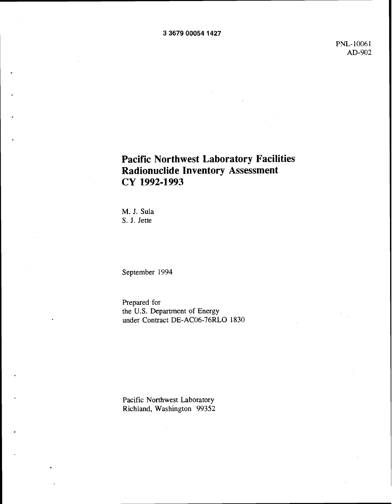PNL-10061 AD-902

## **Pacific Northwest Laboratory Facilities Radionuclide Inventory Assessment CY 1992-1993**

M. J. Sula S. J. Jette

September 1994

Prepared for the U.S. Department of Energy under Contract DE-AC06-76RLO 1830

Pacific Northwest Laboratory Richland, Washington 99352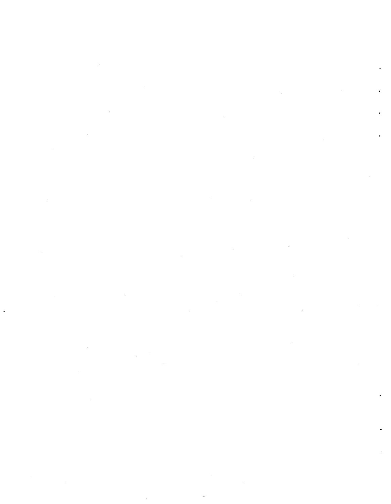$\frac{1}{\sqrt{2}}$  $\label{eq:2.1} \frac{1}{2}\sum_{i=1}^n\frac{1}{2}\sum_{j=1}^n\frac{1}{2}\sum_{j=1}^n\frac{1}{2}\sum_{j=1}^n\frac{1}{2}\sum_{j=1}^n\frac{1}{2}\sum_{j=1}^n\frac{1}{2}\sum_{j=1}^n\frac{1}{2}\sum_{j=1}^n\frac{1}{2}\sum_{j=1}^n\frac{1}{2}\sum_{j=1}^n\frac{1}{2}\sum_{j=1}^n\frac{1}{2}\sum_{j=1}^n\frac{1}{2}\sum_{j=1}^n\frac{1}{2}\sum_{j=1}^n\$  $\label{eq:2.1} \frac{1}{\sqrt{2}}\int_{\mathbb{R}^3}\frac{1}{\sqrt{2}}\left(\frac{1}{\sqrt{2}}\right)^2\frac{1}{\sqrt{2}}\left(\frac{1}{\sqrt{2}}\right)^2\frac{1}{\sqrt{2}}\left(\frac{1}{\sqrt{2}}\right)^2\frac{1}{\sqrt{2}}\left(\frac{1}{\sqrt{2}}\right)^2.$  $\label{eq:2.1} \mathcal{L}(\mathcal{L}^{\mathcal{L}}_{\mathcal{L}}(\mathcal{L}^{\mathcal{L}}_{\mathcal{L}})) \leq \mathcal{L}(\mathcal{L}^{\mathcal{L}}_{\mathcal{L}}(\mathcal{L}^{\mathcal{L}}_{\mathcal{L}})) \leq \mathcal{L}(\mathcal{L}^{\mathcal{L}}_{\mathcal{L}}(\mathcal{L}^{\mathcal{L}}_{\mathcal{L}}))$  $\label{eq:2} \frac{1}{\sqrt{2}}\sum_{i=1}^n\frac{1}{\sqrt{2\pi}}\int_0^1\frac{1}{\sqrt{2\pi}}\left(\frac{1}{\sqrt{2\pi}}\right)^2\frac{1}{\sqrt{2\pi}}\int_0^1\frac{1}{\sqrt{2\pi}}\left(\frac{1}{\sqrt{2\pi}}\right)^2\frac{1}{\sqrt{2\pi}}\frac{1}{\sqrt{2\pi}}\frac{1}{\sqrt{2\pi}}\int_0^1\frac{1}{\sqrt{2\pi}}\frac{1}{\sqrt{2\pi}}\frac{1}{\sqrt{2\pi}}\frac{1}{\sqrt{2\pi}}\frac{1}{\sqrt{$  $\label{eq:2.1} \mathcal{L}(\mathcal{L}^{\text{max}}_{\mathcal{L}}(\mathcal{L}^{\text{max}}_{\mathcal{L}}))\leq \mathcal{L}(\mathcal{L}^{\text{max}}_{\mathcal{L}}(\mathcal{L}^{\text{max}}_{\mathcal{L}}))$  $\label{eq:2.1} \frac{1}{\sqrt{2}}\left(\frac{1}{\sqrt{2}}\right)^{2} \left(\frac{1}{\sqrt{2}}\right)^{2} \left(\frac{1}{\sqrt{2}}\right)^{2} \left(\frac{1}{\sqrt{2}}\right)^{2} \left(\frac{1}{\sqrt{2}}\right)^{2} \left(\frac{1}{\sqrt{2}}\right)^{2} \left(\frac{1}{\sqrt{2}}\right)^{2} \left(\frac{1}{\sqrt{2}}\right)^{2} \left(\frac{1}{\sqrt{2}}\right)^{2} \left(\frac{1}{\sqrt{2}}\right)^{2} \left(\frac{1}{\sqrt{2}}\right)^{2} \left(\$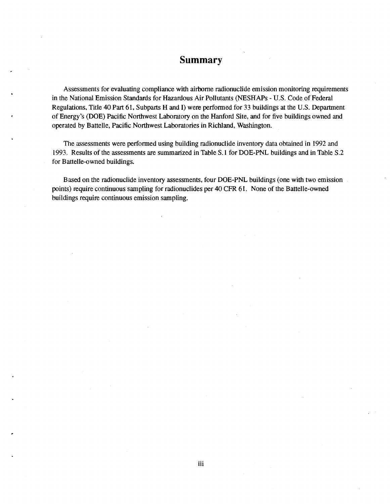## **Summary**

Assessments for evaluating compliance with airborne radionuclide emission monitoring requirements in the National Emission Standards for Hazardous Air Pollutants (NESHAPs - U.S. Code of Federal Regulations, Title 40 Part 61, Subparts H and I) were performed for 33 buildings at the U.S. Department of Energy's (DOE) Pacific Northwest Laboratory on the Hanford Site, and for five buildings owned and operated by Battelle, Pacific Northwest Laboratories in Richland, Washington.

The assessments were performed using building radionuclide inventory data obtained in 1992 and 1993. Results of the assessments are summarized in Table S. 1 for DOE-PNL buildings and in Table S.2 for Battelle-owned buildings.

Based on the radionuclide inventory assessments, four DOE-PNL buildings (one with two emission points) require continuous sampling for radionuclides per 40 CFR 6 1. None of the Battelle-owned buildings require continuous emission sampling.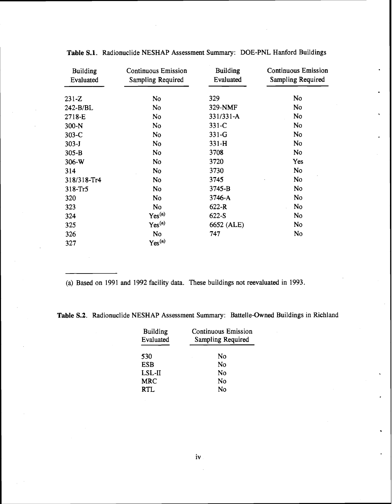| <b>Building</b><br>Evaluated | <b>Continuous Emission</b><br>Sampling Required | <b>Building</b><br>Evaluated | <b>Continuous Emission</b><br>Sampling Required |  |  |
|------------------------------|-------------------------------------------------|------------------------------|-------------------------------------------------|--|--|
| $231-Z$                      | No                                              | 329                          | No                                              |  |  |
| $242-B/BL$                   | No                                              | 329-NMF                      | No                                              |  |  |
| 2718-E                       | No                                              | 331/331-A                    | <b>No</b>                                       |  |  |
| $300-N$                      | No                                              | $331-C$                      | No                                              |  |  |
| $303-C$                      | No                                              | $331-G$                      | No                                              |  |  |
| $303-J$                      | No                                              | $331-H$                      | <b>No</b>                                       |  |  |
| $305 - B$                    | No                                              | 3708                         | No                                              |  |  |
| $306 - W$                    | No                                              | 3720                         | Yes                                             |  |  |
| 314                          | No                                              | 3730                         | No                                              |  |  |
| 318/318-Tr4                  | No                                              | 3745                         | <b>No</b>                                       |  |  |
| $318 - Tr5$                  | No                                              | $3745 - B$                   | No                                              |  |  |
| 320                          | No                                              | 3746-A                       | No                                              |  |  |
| 323                          | <b>No</b>                                       | $622-R$                      | No                                              |  |  |
| 324                          | Yes <sup>(a)</sup>                              | $622-S$                      | No                                              |  |  |
| 325                          | Yes <sup>(a)</sup>                              | 6652 (ALE)                   | No                                              |  |  |
| 326                          | No                                              | 747                          | No                                              |  |  |
| 327                          | $Y_{PS}$ (a)                                    |                              |                                                 |  |  |

Table S.1. Radionuclide NESHAP Assessment Summary: DOE-PNL Hanford Buildings

(a) Based on 1991 and 1992 facility data. These buildings not reevaluated in 1993.

Table **S.2.** Radionuclide NESHAP Assessment Summary: Battelle-Owned Buildings in Richland

| <b>Building</b> | Continuous Emission |
|-----------------|---------------------|
| Evaluated       | Sampling Required   |
| 530             | No                  |
| <b>ESB</b>      | No                  |
| LSL-II          | No                  |
| <b>MRC</b>      | No                  |
| RTL             | N٥                  |

 $iv$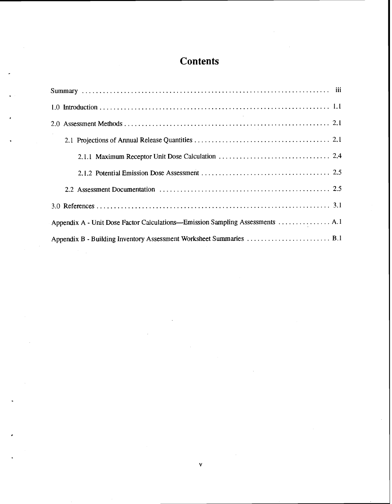## **Con tents**

| Appendix A - Unit Dose Factor Calculations—Emission Sampling Assessments  A.1 |
|-------------------------------------------------------------------------------|
| Appendix B - Building Inventory Assessment Worksheet Summaries  B.1           |

 $\overline{\mathbf{v}}$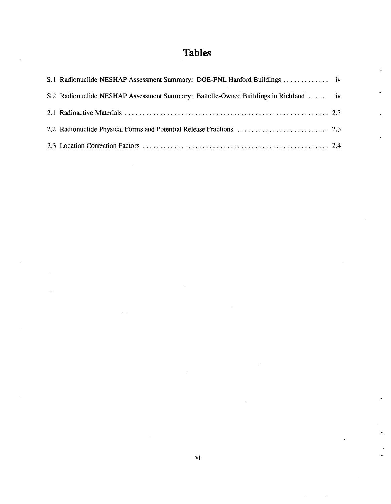## **Tables**

| S.2 Radionuclide NESHAP Assessment Summary: Battelle-Owned Buildings in Richland  iv |  |
|--------------------------------------------------------------------------------------|--|
|                                                                                      |  |
|                                                                                      |  |
|                                                                                      |  |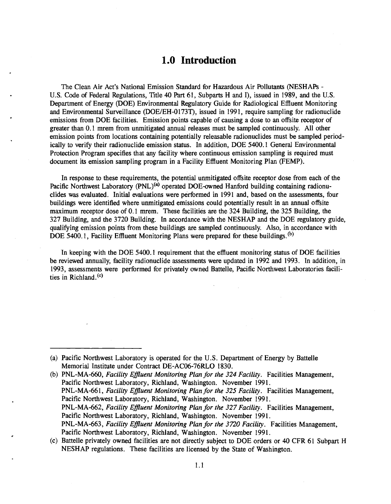## **1.0 Introduction**

The Clean Air Act's National Emission Standard for Hazardous Air Pollutants (NESHAPs - U.S. Code of Federal Regulations, Title 40 Part 61, Subparts H and I), issued in 1989, and the U.S. Department of Energy (DOE) Environmental Regulatory Guide for Radiological Effluent Monitoring and Environmental Surveillance (DOE/EH-0173T), issued in 1991, require sampling for radionuclide emissions from DOE facilities. Emission points capable of causing a dose to an offsite receptor of greater than 0.1 mrem from unmitigated annual releases must be sampled continuously. All other emission points from locations containing potentially releasable radionuclides must be sampled periodically to verify their radionuclide emission status. In addition, DOE 5400.1 General Environmental Protection Program specifies that any facility where continuous emission sampling is required must document its emission sampling program in a Facility Effluent Monitoring Plan (FEMP).

In response to these requirements, the potential unmitigated offsite receptor dose from each of the Pacific Northwest Laboratory  $(PNL)^{(a)}$  operated DOE-owned Hanford building containing radionuclides was evaluated. Initial evaluations were performed in 1991 and, based on the assessments, four buildings were identified where unmitigated emissions could potentially result in an annual offsite maximum receptor dose of 0.1 mrem. These facilities are the 324 Building, the 325 Building, the 327 Building, and the 3720 Building. In accordance with the NESHAP and the DOE regulatory guide, qualifying emission points from these buildings are sampled continuously. Also, in accordance with DOE 5400.1, Facility Effluent Monitoring Plans were prepared for these buildings.<sup>(b)</sup>

ln keeping with the DOE 5400.1 requirement that the effluent monitoring status of DOE facilities be reviewed annually, facility radionuclide assessments were updated in 1992 and 1993. In addition, in 1993, assessments were performed for privately owned Battelle, Pacific Northwest Laboratories facilities in Richland. $<sup>(c)</sup>$ </sup>

(b) PNL-MA-660, *Facility Efluent Monitoring Plan for the 324 Facility.* Facilities Management, Pacific Northwest Laboratory, Richland, Washington. November 1991. PNL-MA-661, *Facility Effluent Monitoring Plan for the 325 Facility*. Facilities Management, Pacific Northwest Laboratory, Richland, Washington. November 1991. PNL-MA-662, *Facility Effluent Monitoring Plan for the 327 Facility*. Facilities Management, Pacific Northwest Laboratory, Richland, Washington. November 1991. PNL-MA-663, *Facility Efluent Monitoring Plan for the 3720 Facility.* Facilities Management, Pacific Northwest Laboratory, Richland, Washington. November 1991.

<sup>(</sup>a) Pacific Northwest Laboratory is operated for the U.S. Department of Energy by Battelle Memorial Institute under Contract DE-AC06-76RLO 1830.

<sup>(</sup>c) Battelle privately owned facilities are not directly subject to DOE orders or 40 CFR 61 Subpart H NESHAP regulations. These facilities are licensed by the State of Washington.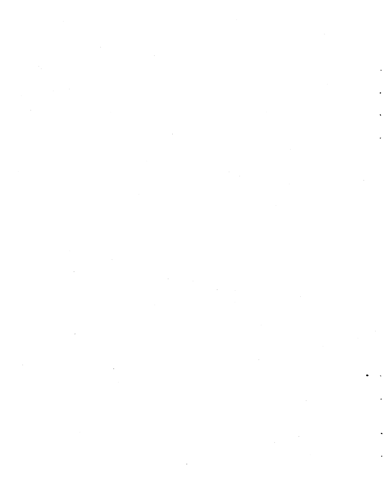$\label{eq:2.1} \frac{d\mathbf{y}}{d\mathbf{x}} = \frac{1}{2} \sum_{i=1}^n \mathbf{y}_i \mathbf{y}_i \mathbf{y}_i \mathbf{y}_i \mathbf{y}_i \mathbf{y}_i \mathbf{y}_i$ 

 $\label{eq:2.1} \mathcal{L}_{\mathcal{A}}(x) = \mathcal{L}_{\mathcal{A}}(x) \mathcal{L}_{\mathcal{A}}(x) \mathcal{L}_{\mathcal{A}}(x)$ 

 $\label{eq:2.1} \frac{1}{\sqrt{2}}\sum_{i=1}^n\frac{1}{\sqrt{2}}\sum_{j=1}^n\frac{1}{\sqrt{2}}\sum_{j=1}^n\frac{1}{\sqrt{2}}\sum_{j=1}^n\frac{1}{\sqrt{2}}\sum_{j=1}^n\frac{1}{\sqrt{2}}\sum_{j=1}^n\frac{1}{\sqrt{2}}\sum_{j=1}^n\frac{1}{\sqrt{2}}\sum_{j=1}^n\frac{1}{\sqrt{2}}\sum_{j=1}^n\frac{1}{\sqrt{2}}\sum_{j=1}^n\frac{1}{\sqrt{2}}\sum_{j=1}^n\frac$ 

 $\label{eq:2.1} \mathcal{L}(\mathcal{L}^{\mathcal{L}}_{\mathcal{L}}(\mathcal{L}^{\mathcal{L}}_{\mathcal{L}})) \leq \mathcal{L}(\mathcal{L}^{\mathcal{L}}_{\mathcal{L}}(\mathcal{L}^{\mathcal{L}}_{\mathcal{L}})) \leq \mathcal{L}(\mathcal{L}^{\mathcal{L}}_{\mathcal{L}}(\mathcal{L}^{\mathcal{L}}_{\mathcal{L}}))$  $\label{eq:2.1} \frac{1}{\sqrt{2}}\sum_{i=1}^n\frac{1}{\sqrt{2}}\sum_{i=1}^n\frac{1}{\sqrt{2}}\sum_{i=1}^n\frac{1}{\sqrt{2}}\sum_{i=1}^n\frac{1}{\sqrt{2}}\sum_{i=1}^n\frac{1}{\sqrt{2}}\sum_{i=1}^n\frac{1}{\sqrt{2}}\sum_{i=1}^n\frac{1}{\sqrt{2}}\sum_{i=1}^n\frac{1}{\sqrt{2}}\sum_{i=1}^n\frac{1}{\sqrt{2}}\sum_{i=1}^n\frac{1}{\sqrt{2}}\sum_{i=1}^n\frac$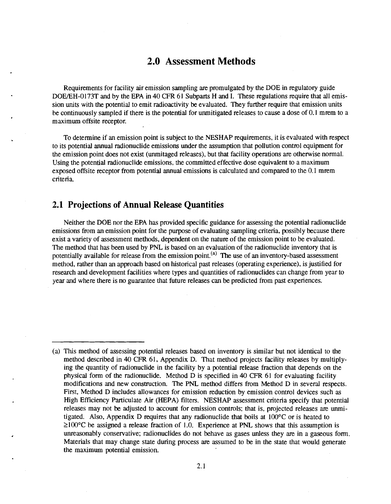## **2.0 Assessment Methods**

Requirements for facility air emission sampling are promulgated by the DOE in regulatory guide DOE/EH-0173T and by the EPA in 40 CFR 61 Subparts **H** and I. These regulations require that all emission units with the potential to emit radioactivity be evaluated. They further require that emission units be continuously sampled if there is the potential for unmitigated releases to cause a dose of 0.1 mrem to a maximum offsite receptor.

To determine if an emission point is subject to the NESHAP requirements, it is evaluated with respect to its potential annual radionuclide emissions under the assumption that pollution control equipment for the emission point does not exist (unmitaged releases), but that facility operations are otherwise normal. Using the potential radionuclide emissions, the committed effective dose equivalent to a maximum exposed offsite receptor from potential annual emissions is calculated and compared to the 0.1 mrem criteria.

### **2.1 Projections of Annual Release Quantities**

Neither the DOE nor the EPA has provided specific guidance for assessing the potential radionuclide emissions from **an** emission point for the purpose of evaluating sampling criteria, possibly because there exist a variety of assessment methods, dependent on the nature of the emission point to be evaluated. The method that has been used by PNL is based on an evaluation of the radionuclide inventory that is potentially available for release from the emission point.<sup>(a)</sup> The use of an inventory-based assessment method, rather than an approach based on historical past releases (operating experience), is justified for research and development facilities where types and quantities of radionuclides can change from year to year and where there is no guarantee that future releases can be predicted from past experiences.

<sup>(</sup>a) This method of assessing potential releases based on inventory is similar but not identical to the method described in 40 **CFR** 61, Appendix D. That method projects facility releases by multiplying the quantity of radionuclide in the facility by a potential release fraction that depends on the physical form of the radionuclide. Method D is specified in 40 CFR 61 for evaluating facility modifications and new construction. The PNL method differs from Method D in several respects. First, Method D includes allowances for emission reduction by emission control devices such as High Efficiency Particulate Air **(HEPA)** filters. NESHAP assessment criteria specify that potential releases may not be adjusted to account for emission controls; that is, projected releases are unmitigated. Also, Appendix D requires that any radionuclide that boils at 100°C or is heated to  $\geq$ 100°C be assigned a release fraction of 1.0. Experience at PNL shows that this assumption is unreasonably conservative; radionuclides do not behave as gases unless they are in a gaseous form. Materials that may change state during process are assumed to be in the state that would generate the maximum potential emission.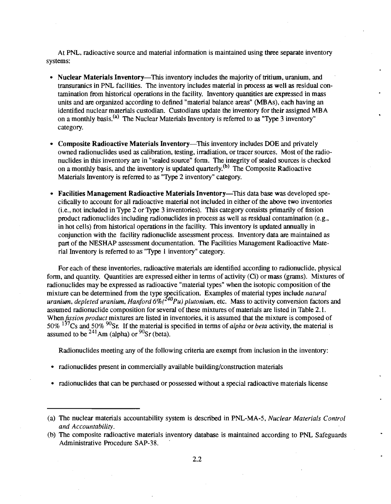At PNL, radioactive source and material information is maintained using three separate inventory systems:

- Nuclear Materials Inventory—This inventory includes the majority of tritium, uranium, and transuranics in PNL facilities. The inventory includes material in process as well as residual contamination from historical operations in the facility. Inventory quantities **are** expressed in mass units and are organized according to defined "material balance areas" (MBAs), each having an identified nuclear materials custodian. Custodians update the inventory for their assigned MBA on a monthly basis.<sup>(a)</sup> The Nuclear Materials Inventory is referred to as "Type 3 inventory" category.
- Composite Radioactive Materials Inventory-This inventory includes DOE and privately owned radionuclides used as calibration, testing, irradiation, or tracer sources. Most of the radionuclides in this inventory **are** in "sealed source" form. The integrity of sealed sources is checked on a monthly basis, and the inventory is updated quarterly.<sup>(b)</sup> The Composite Radioactive Materials Inventory is referred to as "Type 2 inventory" category.
- Facilities Management Radioactive Materials Inventory—This data base was developed specifically to account for all radioactive material not included in either of the above two inventories (i.e., not included in Type 2 or Type 3 inventories). This category consists primarily of fission product radionuclides including ndionuclides in process as well as residual contamination (e.g., in hot cells) from historical operations in the facility. This inventory is updated annually in conjunction with the facility radionuclide assessment process. Inventory data are maintained as part of the NESHAP assessment documentation. The Facilities Management Radioactive Material Inventory is referred to as "Type 1 inventory" category.

For each of these inventories, radioactive materials are identified according to radionuclide, physical form, and quantity. Quantities are expressed either in terms of activity (Ci) or mass (grams). Mixtures of radionuclides may be expressed as radioactive "material types" when the isotopic composition of the mixture can be determined from the type specification. Examples of material types include *natural arranium*, *depleted uranium*, *Hanford*  $6\%(^{240}Pu)$  *plutonium*, etc. Mass to activity conversion factors and assumed radionuclide composition for several of these mixtures of materials are listed in Table 2.1. When assumed radionuclide composition for several of these mixtures of materials are listed in Table 2.1. When *fission product* mixtures are listed in inventories, it is assumed that the mixture is composed of  $50\%$  <sup>137</sup>Cs and  $50\%$  <sup>90</sup>Sr. If the material is specified in terms of *alpha* or *beta* activity, the material assumed to be  $^{241}$ Am (alpha) or  $^{90}$ Sr (beta).

Radionuclides meeting any of the following criteria are exempt from inclusion in the inventory:

- radionuclides present in commercially available building/construction materials
- radionuclides that can be purchased or possessed without a special radioactive materials license

<sup>(</sup>a) The nuclear materials accountability system is described in PNL-MA-5, *Nuclear Materials Control and Accountability.* 

<sup>(</sup>b) The composite radioactive materials inventory database is maintained according to PNL Safeguards Administrative Procedure SAP-38. .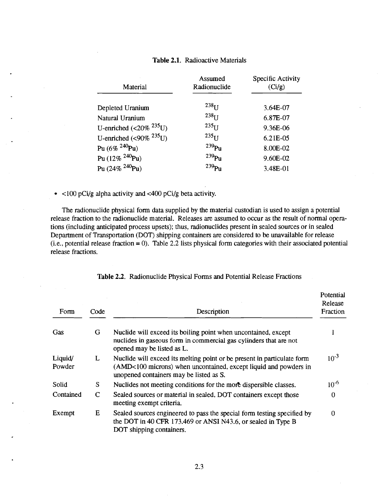### **Table 2.1.** Radioactive Materials

| Material                      | Assumed<br>Radionuclide | Specific Activity<br>(Ci/g) |
|-------------------------------|-------------------------|-----------------------------|
| Depleted Uranium              | $238_{11}$              | 3.64E-07                    |
| Natural Uranium               | $238_{\text{H}}$        | 6.87E-07                    |
| U-enriched (<20% $^{235}$ U)  | $235_{\text{H}}$        | 9.36E-06                    |
| U-enriched $(\leq 90\%$ 235U) | $235_{11}$              | $6.21E-05$                  |
| Pu (6% $^{240}$ Pu)           | 239 <sub>Pu</sub>       | 8.00E-02                    |
| Pu (12% $^{240}$ Pu)          | 239 <sub>Pin</sub>      | 9.60E-02                    |
| Pu (24% $^{240}$ Pu)          | 239 <sub>PU</sub>       | 3.48E-01                    |

 $\cdot$  <100 pCi/g alpha activity and <400 pCi/g beta activity.

The radionuclide physical form data supplied by the material custodian is used to assign a potential release fraction to the radionuclide material. Releases are assumed to occur as the result of normal operations (including anticipated process upsets); thus, radionuclides present in sealed sources or in sealed Department of Transportation (DOT) shipping containers are considered to be unavailable for release (i.e., potential release fraction = 0). Table 2.2 lists physical form categories with their associated potential release fractions.

|                   |      |                                                                                                                                                                                        | Potential<br>Release |
|-------------------|------|----------------------------------------------------------------------------------------------------------------------------------------------------------------------------------------|----------------------|
| Form              | Code | Description                                                                                                                                                                            | Fraction             |
| Gas               | G    | Nuclide will exceed its boiling point when uncontained, except<br>nuclides in gaseous form in commercial gas cylinders that are not<br>opened may be listed as L.                      |                      |
| Liquid/<br>Powder | L    | Nuclide will exceed its melting point or be present in particulate form<br>(AMD<100 microns) when uncontained, except liquid and powders in<br>unopened containers may be listed as S. | $10^{-3}$            |
| Solid             | S    | Nuclides not meeting conditions for the more dispersible classes.                                                                                                                      | $10^{-6}$            |
| Contained         | C    | Sealed sources or material in sealed, DOT containers except those<br>meeting exempt criteria.                                                                                          | $\mathbf 0$          |
| Exempt            | E    | Sealed sources engineered to pass the special form testing specified by                                                                                                                | 0                    |

**Table 2.2.** Radionuclide Physical Forms and Potential Release Fractions

the DOT in 40 CFR 173.469 or ANSI N43.6, or sealed in Type B

DOT shipping containers.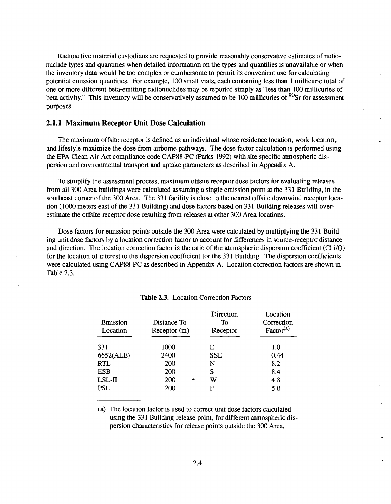Radioactive material custodians are requested to provide reasonably conservative estimates of radionuclide types and quantities when detailed information on the types and quantities is unavailable or when the inventory data would be too complex or cumbersome to permit its convenient use for calculating potential emission quantities. For example, 100 small vials, each containing less than 1 millicurie total of one or more different beta-emitting radionuclides may be reported simply as "less than 100 millicuries of beta activity." This inventory will be conservatively assumed to be  $100$  millicuries of  $90$ Sr for assessment purposes.

#### **2.1.1 Maximum Receptor Unit Dose Calculation**

The maximum offsite receptor is defined as an individual whose residence location, work location, and lifestyle maximize the dose from airborne pathways. The dose factor calculation is performed using the EPA Clean Air Act compliance code CAP88-PC **(Parks** 1992) with site specific atmospheric dispersion and environmental transport and uptake parameters as described in Appendix A.

To simplify the assessment process, maximum offsite receptor dose factors for evaluating releases from all 300 Area buildings were calculated assuming a single emission point at the 331 Building, in the southeast corner of the 300 Area. The 331 facility is close to the nearest offsite downwind receptor location (1000 meters east of the 331 Building) and dose factors based on 331 Building releases will overestimate the offsite receptor dose resulting from releases at other 300 Area locations.

Dose factors for emission points outside the 300 Area were calculated by multiplying the 331 Building unit dose factors by a location correction factor to account for differences in source-receptor distance and direction. The location correction factor is the ratio of the atmospheric dispersion coefficient (Chi/Q) for the location of interest to the dispersion coefficient for the 331 Building. The dispersion coefficients were calculated using CAP88-PC as described in Appendix A. Location correction factors are shown in Table 2.3.

| Emission<br>Location | Distance To<br>Receptor(m) | Direction<br>To<br>Receptor | Location<br>Correction<br>Factor <sup>(a)</sup> |
|----------------------|----------------------------|-----------------------------|-------------------------------------------------|
| 331                  | 1000                       | Е                           | 1.0                                             |
| 6652(ALE)            | 2400                       | <b>SSE</b>                  | 0.44                                            |
| <b>RTL</b>           | 200                        | N                           | 8.2                                             |
| <b>ESB</b>           | 200                        | S                           | 8.4                                             |
| LSL-II               | 200                        | W                           | 4.8                                             |
| <b>PSL</b>           | 200                        | F.                          | 5.0                                             |

(a) The location factor is used to correct unit dose factors calculated using the 33 1 Building release point, for different atmospheric dispersion characteristics for release points outside the 300 Area.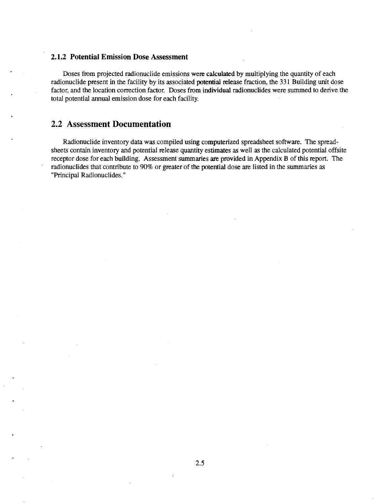#### **2.1.2 Potential Emission Dose Assessment**

Doses from projected radionuclide emissions were calculated by multiplying the quantity of each radionuclide present in the facility by its associated potential release fraction, the **33** 1 Building unit dose factor, and the location correction factor. Doses from individual radionuclides were summed to derive the total potential annual emission dose for each facility.

## **2.2 Assessment Documentation**

Radionuclide inventory data was compiled using computerized spreadsheet software. The spreadsheets contain inventory and potential release quantity estimates as well as the calculated potential offsite receptor dose for each building. Assessment summaries are provided in Appendix B of this report. The radionuclides that contribute to 90% or greater of the potential dose are listed in the summaries as "Principal Radionuclides."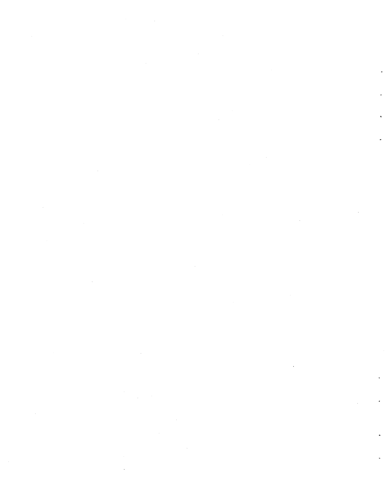$\frac{1}{\sqrt{2}}$ 

 $\label{eq:2.1} \frac{1}{\sqrt{2}}\int_{0}^{\infty}\frac{dx}{\sqrt{2\pi}}\,dx\leq \frac{1}{2}\int_{0}^{\infty}\frac{dx}{\sqrt{2\pi}}\,dx.$ 

 $\label{eq:2.1} \frac{1}{\sqrt{2}}\left(\frac{1}{\sqrt{2}}\right)^{2} \left(\frac{1}{\sqrt{2}}\right)^{2} \left(\frac{1}{\sqrt{2}}\right)^{2} \left(\frac{1}{\sqrt{2}}\right)^{2} \left(\frac{1}{\sqrt{2}}\right)^{2} \left(\frac{1}{\sqrt{2}}\right)^{2} \left(\frac{1}{\sqrt{2}}\right)^{2} \left(\frac{1}{\sqrt{2}}\right)^{2} \left(\frac{1}{\sqrt{2}}\right)^{2} \left(\frac{1}{\sqrt{2}}\right)^{2} \left(\frac{1}{\sqrt{2}}\right)^{2} \left(\$ 

 $\label{eq:2.1} \frac{1}{\sqrt{2\pi}}\int_{\mathbb{R}^3} \frac{1}{\sqrt{2\pi}}\int_{\mathbb{R}^3} \frac{1}{\sqrt{2\pi}}\int_{\mathbb{R}^3} \frac{1}{\sqrt{2\pi}}\int_{\mathbb{R}^3} \frac{1}{\sqrt{2\pi}}\int_{\mathbb{R}^3} \frac{1}{\sqrt{2\pi}}\int_{\mathbb{R}^3} \frac{1}{\sqrt{2\pi}}\int_{\mathbb{R}^3} \frac{1}{\sqrt{2\pi}}\int_{\mathbb{R}^3} \frac{1}{\sqrt{2\pi}}\int_{\mathbb{$  $\label{eq:2.1} \begin{split} \mathcal{L}_{\text{max}}(\mathbf{r},\mathbf{r}) = \mathcal{L}_{\text{max}}(\mathbf{r},\mathbf{r}) \mathcal{L}_{\text{max}}(\mathbf{r},\mathbf{r}) \mathcal{L}_{\text{max}}(\mathbf{r},\mathbf{r}) \mathcal{L}_{\text{max}}(\mathbf{r},\mathbf{r}) \mathcal{L}_{\text{max}}(\mathbf{r},\mathbf{r},\mathbf{r}) \mathcal{L}_{\text{max}}(\mathbf{r},\mathbf{r},\mathbf{r}) \mathcal{L}_{\text{max}}(\mathbf{r},\mathbf{r},\mathbf{r},\mathbf$  $\epsilon_{\rm c}$  $\sim 10^{-1}$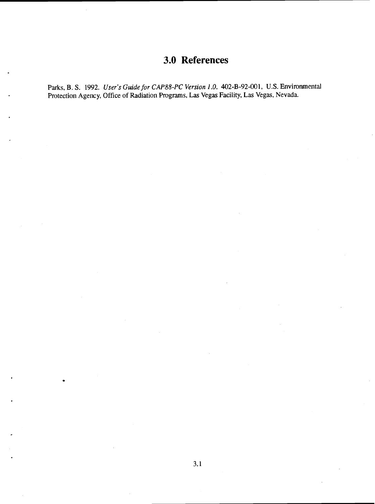## **3.0 References**

**Parks, B. S. 1992.** *User's* Guide *for CAP88-PC Version 1 .O.* **402-B-92-001, U.S. Environmental Protection Agency, Office of Radiation Programs, Las Vegas Facility, Las Vegas, Nevada.**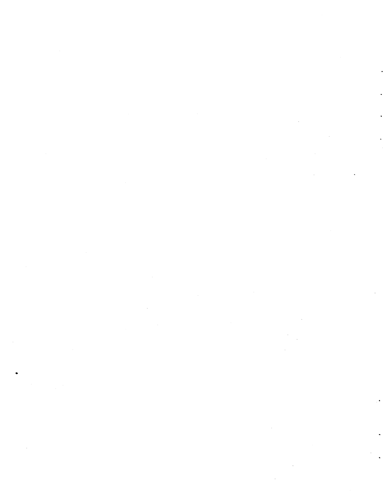$\label{eq:2.1} \frac{1}{\sqrt{2}}\sum_{i=1}^n\frac{1}{\sqrt{2}}\sum_{i=1}^n\frac{1}{\sqrt{2}}\sum_{i=1}^n\frac{1}{\sqrt{2}}\sum_{i=1}^n\frac{1}{\sqrt{2}}\sum_{i=1}^n\frac{1}{\sqrt{2}}\sum_{i=1}^n\frac{1}{\sqrt{2}}\sum_{i=1}^n\frac{1}{\sqrt{2}}\sum_{i=1}^n\frac{1}{\sqrt{2}}\sum_{i=1}^n\frac{1}{\sqrt{2}}\sum_{i=1}^n\frac{1}{\sqrt{2}}\sum_{i=1}^n\frac$  $\label{eq:2.1} \frac{1}{\sqrt{2}}\int_{0}^{\infty}\frac{1}{\sqrt{2\pi}}\left(\frac{1}{\sqrt{2\pi}}\right)^{2\alpha} \frac{1}{\sqrt{2\pi}}\int_{0}^{\infty}\frac{1}{\sqrt{2\pi}}\left(\frac{1}{\sqrt{2\pi}}\right)^{\alpha} \frac{1}{\sqrt{2\pi}}\frac{1}{\sqrt{2\pi}}\int_{0}^{\infty}\frac{1}{\sqrt{2\pi}}\frac{1}{\sqrt{2\pi}}\frac{1}{\sqrt{2\pi}}\frac{1}{\sqrt{2\pi}}\frac{1}{\sqrt{2\pi}}\frac{1}{\sqrt{2\pi}}$  $\label{eq:2.1} \mathcal{L}(\mathcal{L}^{\mathcal{L}}(\mathcal{L}^{\mathcal{L}}(\mathcal{L}^{\mathcal{L}}(\mathcal{L}^{\mathcal{L}}(\mathcal{L}^{\mathcal{L}}(\mathcal{L}^{\mathcal{L}}(\mathcal{L}^{\mathcal{L}}(\mathcal{L}^{\mathcal{L}}(\mathcal{L}^{\mathcal{L}}(\mathcal{L}^{\mathcal{L}}(\mathcal{L}^{\mathcal{L}}(\mathcal{L}^{\mathcal{L}}(\mathcal{L}^{\mathcal{L}}(\mathcal{L}^{\mathcal{L}}(\mathcal{L}^{\mathcal{L}}(\mathcal{L}^{\mathcal$  $\sim 10^{-1}$  $\label{eq:2.1} \frac{1}{\sqrt{2\pi}}\int_{0}^{\pi} \frac{1}{\sqrt{2\pi}}\left(\frac{1}{\sqrt{2\pi}}\right)^{2\pi} \frac{1}{\sqrt{2\pi}}\int_{0}^{\pi} \frac{1}{\sqrt{2\pi}}\left(\frac{1}{\sqrt{2\pi}}\right)^{2\pi} \frac{1}{\sqrt{2\pi}}\frac{1}{\sqrt{2\pi}}\int_{0}^{\pi} \frac{1}{\sqrt{2\pi}}\frac{1}{\sqrt{2\pi}}\frac{1}{\sqrt{2\pi}}\frac{1}{\sqrt{2\pi}}\frac{1}{\sqrt{2\pi}}\frac{1}{\sqrt{$  $\label{eq:2.1} \mathcal{L}(\mathcal{L}^{\text{max}}_{\mathcal{L}}(\mathcal{L}^{\text{max}}_{\mathcal{L}})) \leq \mathcal{L}(\mathcal{L}^{\text{max}}_{\mathcal{L}}(\mathcal{L}^{\text{max}}_{\mathcal{L}}))$  $\label{eq:2.1} \mathcal{L}(\mathbf{z}) = \mathcal{L}(\mathbf{z}) \mathcal{L}(\mathbf{z}) = \mathcal{L}(\mathbf{z})$  $\lambda_{\rm{max}}$  $\mathcal{L}(\mathcal{L}^{\text{max}}_{\mathcal{L}}(\mathcal{L}^{\text{max}}_{\mathcal{L}}))$ 

 $\mathcal{L}_{\text{max}}$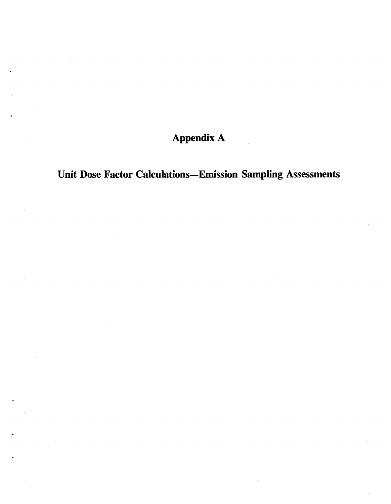## **Appendix A**

# **Unit Dose Factor Calculations-Emission Sampling Assessments**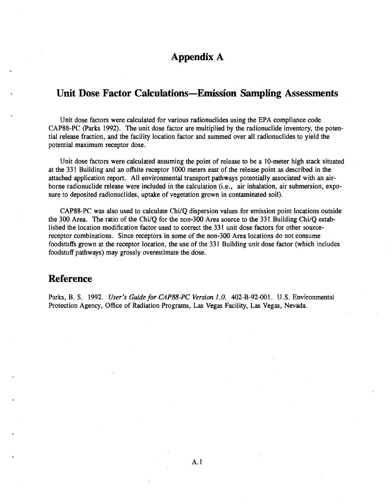## **Appendix A**

## **Unit Dose Factor Calculations-Emission Sampling Assessments**

Unit dose factors were calculated for various radionuclides using the EPA compliance code CAP88-PC (Parks 1992). The unit dose factor are multiplied by the radionuclide inventory, the potential release fraction, and the facility location factor and summed over all radionuclides to yield the potential maximum receptor dose.

Unit dose factors were calculated assuming the point of release to be a 10-meter high stack situated at the 33 1 Building and an offsite receptor 1000 meters east of the release point as described in the attached application report. All environmental transport pathways potentially associated with an airborne radionuclide release were included in the calculation (i.e., air inhalation, air submersion, exposure to deposited radionuclides, uptake of vegetation grown in contaminated soil).

CAP88-PC was also used to calculate Chi/O dispersion values for emission point locations outside the 300 Area. The ratio of the Chi/Q for the non-300 Area source to the 331 Building Chi/Q established the location modification factor used to correct the 331 unit dose factors for other sourcereceptor combinations. Since receptors in some of the non-300 Area locations do not consume foodstuffs grown at the receptor location, the use of the 33 1 Building unit dose factor (which includes foodstuff pathways) may grossly overestimate the dose.

## **Reference**

Parks, B. S. 1992. *User's Guide for* CAP88-PC *Version* 1 .O. 402-B-92-001. U.S. Environmental Protection Agency, Office of Radiation Programs, Las Vegas Facility, Las Vegas, Nevada.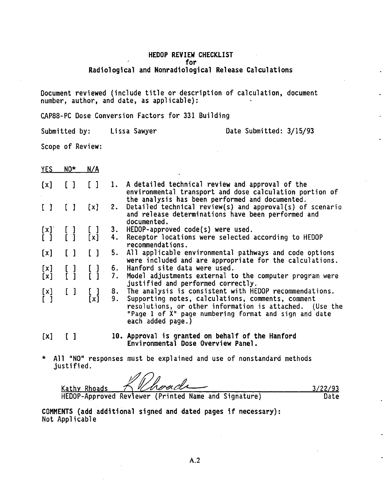#### **HEDOP REVIEW CHECKLIST for**  Radiological and Nonradiological Release Calculations

**Document reviewed (include title or description of calculation, document number, author, and date, as applicable):** 

**CAP88-PC Dose Conversion Factors for 331 Building** 

**Submitted by: Li ssa Sawyer Date Submitted: 3/15/93 Scope of Review: YES NO\* N/A [x]** [ ] [ **] 1. A detailed technical review and approval of the environmental transport and dose calculation portion of the analysis has been performed and documented.**  [ ] [ ] **[x] 2. Detailed technical review(s) and approval(s) of scenario and re1 ease determinations have been performed and documented. [x]'** [ **]** [ **] 3. HEDOP-approved code(s) were used.**  [ **]** [ **] [x] 4. Receptor 1 ocations were selected according to HEDOP recommendations** . **[x]** [ **]** [ ] **5. All applicable environmental pathways and code options**  were included and are appropriate for the calculations. **[x]** [ **]** [ ] **6. Hanford site data were used. [x]** [ **]** [ ] **7. Model adjustments external to the computer program were just i fi ed and performed correctly. [x]** [ **]** [ **] 8. The analysis is consistent with HEDOP recommendations.**  resolutions, or other information is attached. (Use the **"Page 1 of X" page numbering format and sign and date each added page.) 1x1** [ 1 **10. Approval is granted on behalf of the Hanford** 

\* All "NO" responses must be explained and use of nonstandard methods **justified.** 

Kathy Rhoads 3/22/93 HEDOP-Approved Reviewer (Printed Name and Signature) Date

**COMMENTS (add additional signed and dated pages if necessary): Not Appl i cab1 e**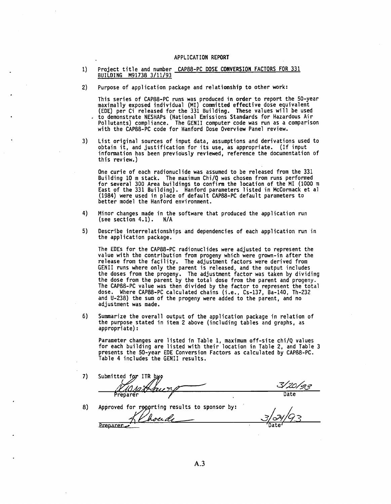#### **APPLICATION REPORT**

- **1) Project title and number CAP88-PC DOSE CONVERSION FACTORS FOR 331 BUILDING M91738 3/11/93**
- **2) Purpose of application package and relationship to other work:**

**This series of CAP88-PC runs was produced in order to report the 50-year maximally exposed individual (MI) committed effective dose equivalent (EDE) per Ci released for the 331 Building. These values will be used** , **to demonstrate NESHAPs (National Emissions Standards for Hazardous Air Pollutants) compliance. The GENII computer code was run as a comparison with the CAP88-PC code for Hanford Dose Overview Panel review.** 

**3) List original sources of input data, assumptions and derivations used to obtain it, and justification for its use, as appropriate. (If input information has been previously reviewed, reference the documentation of this review.)** 

**One curie of each radionuclide was assumed to be released from the 331 Building 10 m stack. The maximum Chi/Q was chosen from runs performed for several 300 Area buildings to confirm the location of the MI (1000 m East of the 331 Building). Hanford parameters listed in McCormack et a1 (1984) were used in place of default CAP88-PC default parameters to better model the Hanford environment.** 

- **4) Minor changes made in the software that produced the application run**   $(see section 4.1).$
- **5) Describe interrelationships and dependencies of each application run in the application package.**

**The EDEs for the CAP88-PC radionuclides were adjusted to represent the value with the contribution from progeny which were grown-in after the**  release from the facility. The adjustment factors were derived from **GENII runs where only the parent is released, and the output includes the doses from the progeny. The adjustment factor was taken by dividing the dose from the parent by the total dose from the parent and progeny. The CAP88-PC value was then divided by the factor to represent the total dose. Where CAP88-PC calculated chains (i.e., Cs-137, Ba-140, Th-232 and U-238) the sum of the progeny were added to the parent, and no adjustment was made.** 

**6) Summarize the overall output of the application package in relation of the purpose stated in item 2 above (including tables and graphs, as appropriate)** :

**Parameter changes are listed in Table 1, maximum off-site chi/Q values for each building are listed with their location in Table 2, and Table 3 presents the 50-year EDE Conversion Factors as calculated by CAP88-PC. Table 4 includes the GENII results.** 

 $7)$ Submitted

Prenarer

hoer di

3/20/93 **Date** 

 $8)$ Approved for reporting results to sponsor by:

Prenarer

 $A.3$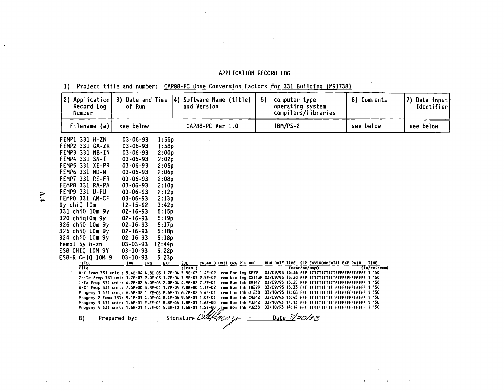### APPLICATION RECORD LOG

 $\bullet$ 

 $\bullet$ 

 $\mathcal{O}(\mathcal{A})$  and  $\mathcal{O}(\mathcal{A})$  . And

## 1) Project title and number: CAP88-PC Dose Conversion Factors for 331 Building (M91738)

| 2) Application<br>Record Log<br>Number                                                                                                                                                                                                                                                                                                                                                                   | 3) Date and Time<br>of Run                                                                                                                                                                                                                                                                                                                                                                                                                                                                                                                                                                                                                                                                                                                                                                                                                                                                                        |                                                                                                                                                                                                | 4) Software Name (title)<br>and Version |                                        | 5)<br>computer type<br>operating system<br>compilers/libraries |                                                                                                                                                                                                                                                                                                                                                                                                                                                                                                                                                                                         | 6) Comments  | 7) Data input<br>Identifier |
|----------------------------------------------------------------------------------------------------------------------------------------------------------------------------------------------------------------------------------------------------------------------------------------------------------------------------------------------------------------------------------------------------------|-------------------------------------------------------------------------------------------------------------------------------------------------------------------------------------------------------------------------------------------------------------------------------------------------------------------------------------------------------------------------------------------------------------------------------------------------------------------------------------------------------------------------------------------------------------------------------------------------------------------------------------------------------------------------------------------------------------------------------------------------------------------------------------------------------------------------------------------------------------------------------------------------------------------|------------------------------------------------------------------------------------------------------------------------------------------------------------------------------------------------|-----------------------------------------|----------------------------------------|----------------------------------------------------------------|-----------------------------------------------------------------------------------------------------------------------------------------------------------------------------------------------------------------------------------------------------------------------------------------------------------------------------------------------------------------------------------------------------------------------------------------------------------------------------------------------------------------------------------------------------------------------------------------|--------------|-----------------------------|
| Filename (a)                                                                                                                                                                                                                                                                                                                                                                                             | see below                                                                                                                                                                                                                                                                                                                                                                                                                                                                                                                                                                                                                                                                                                                                                                                                                                                                                                         |                                                                                                                                                                                                | CAP88-PC Ver 1.0                        |                                        | IBM/PS-2                                                       | see below                                                                                                                                                                                                                                                                                                                                                                                                                                                                                                                                                                               |              | see below                   |
| <b>FEMP1 331 H-ZN</b><br>FEMP2 331 GA-ZR<br>FEMP3 331 NB-IN<br><b>FEMP4 331 SN-I</b><br>FEMP5 331 XE-PR<br><b>FEMP6 331 ND-W</b><br>FEMP7 331 RE-FR<br>FEMP8 331 RA-PA<br><b>FEMP9 331 U-PU</b><br>FEMPO 331 AM-CF<br>9y chiQ 10m<br>331 chiQ 10m 9y<br>320 chiql0m 9y<br>326 chiQ 10m 9y<br>325 chiQ 10m 9y<br>324 chiQ 10m 9y<br>fempl 5y h-zn<br>ESB CHIQ IOM 9Y<br>ESB-R CHIQ 10M 9<br>TITLE<br>File | $03 - 06 - 93$<br>$03 - 06 - 93$<br>$03 - 06 - 93$<br>$03 - 06 - 93$<br>$03 - 06 - 93$<br>$03 - 06 - 93$<br>$03 - 06 - 93$<br>$03 - 06 - 93$<br>$03 - 06 - 93$<br>$03 - 06 - 93$<br>$12 - 15 - 92$<br>$02 - 16 - 93$<br>$02 - 16 - 93$<br>$02 - 16 - 93$<br>$02 - 16 - 93$<br>$02 - 16 - 93$<br>$03 - 03 - 93$<br>$03 - 10 - 93$<br>$03 - 10 - 93$<br>INH.<br><b>ING</b><br>H-Y Femp 331 unit : 5.4E-04 4.8E-03 1.7E-04 5.5E-03 1.4E-02 rem Bon Ing SE79<br>Zr-Te Femp 331 uni: 1.7E-03 2.0E-03 1.7E-04 3.9E-03 2.5E-02<br>I-Ta Femp 331 unit: 4.2E-02 6.0E-03 2.0E-04 4.9E-02 7.2E-01<br>W-Cf Femp 331 unit: 7.5E+00 3.3E-01 1.7E-04 7.8E+00 1.1E+02<br>Progeny 1 331 unit: 6.5E-02 1.2E-03 8.6E-05 6.7E-02 5.4E-01<br>Progeny 2 Femp 331: 9.1E-03 4.0E-04 8.4E-06 9.5E-03 1.0E-01<br>Progeny 3 331 unit: 1.6E-01 2.2E-02 8.8E-06 1.8E-01 1.6E+00<br>Progeny 4 331 unit: 1.6E-01 1.5E-04 5.3E-10 1.6E-01 1.5E+00 | 1:56p<br>1:58p<br>2:00p<br>2:02p<br>2:05p<br>2:06p<br>2:08p<br>2:10p<br>2:12p<br>2:13p<br>3:42p<br>5:15p<br>5:19p<br>5:17p<br>5:18p<br>5:18p<br>12:44p<br>5:22p<br>5:23p<br><b>EXT</b><br>EDE. | ORGAN D UNIT ORG PTH NUC<br>(1ntn)      | rem Bon Inh SM147<br>rem Bon Inh TH229 | (near/ac/pop)                                                  | RUN DATE TIME SLP ENVIRONMENTAL EXP PATH TIME<br>03/09/93 15:36 FFF ITITITITITIFFFFFFFFFFFFFF 1 150<br>rem Kid Ing CD113M 03/09/93 15:20 FFF ITTITITITITFFFFFFFFFFFFF 1 150<br>03/09/93 15:25 FFF TITTITITITFFFFFFFFFFFFFFF 1 150<br>03/09/93 15:33 FFF ITTITITITIFFFFFFFFFFFFFFF 1 150<br>rem Lun Inh U 238 03/10/93 14:08 FFF TITITITITITFFFFFFFFFFFFF 1 150<br>rem Bon Inh CM242 03/09/93 13:45 FFF ITITITITITITFFFFFFFFFFFFF 1 150<br>rem Bon Inh PU242 03/10/93 14:13 FFF ITITITITITIFFFFFFFFFFFFF 1 150<br>, rem Bon Inh PU238 03/10/93 14:14 FFF ITITITITITIFFFFFFFFFFFFFF 1 150 | (in/rel/com) |                             |
| $\left(8\right)$                                                                                                                                                                                                                                                                                                                                                                                         | Prepared by:                                                                                                                                                                                                                                                                                                                                                                                                                                                                                                                                                                                                                                                                                                                                                                                                                                                                                                      |                                                                                                                                                                                                | Signature COCAROLOL                     |                                        | Date $\frac{3}{20}/93$                                         |                                                                                                                                                                                                                                                                                                                                                                                                                                                                                                                                                                                         |              |                             |

 $A.4$ 

and the control of the

 $\bullet$ 

 $\lambda$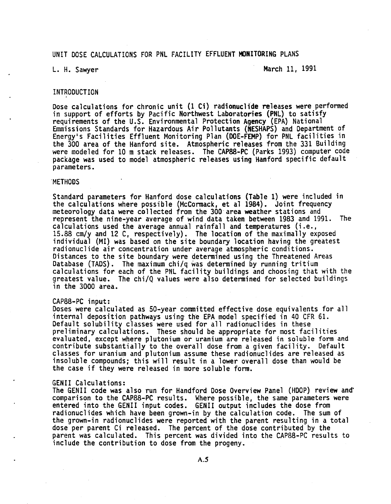#### UNIT DOSE CALCULATIONS FOR PNL FACILITY EFFLUENT MONITORING PLANS

#### L. H. Sawyer March 11, 1991

#### INTRODUCTION

Dose calculations for chronic unit (1 Ci) radionuclide releases were performed<br>in support of efforts by Pacific Northwest Laboratories (PNL) to satisfy<br>requirements of the U.S. Environmental Protection Agency (EPA) Nationa Emmissions Standards for Hazardous Air Pollutants (NESHAPS) and Department of Energy's Facilities Effluent Monitoring Plan (DOE-FEMP) for PNL facilities in the 300 area of the Hanford site. Atmospheric releases from the 331 Building were modeled for 10 m stack releases. The CAP88-PC (Parks 1993) computer code package was used to model atmospheric releases using Hanford specific default parameters.

#### 'METHODS

Standard parameters for Hanford dose calculations (Table 1) were included in the calculations where possible (McCormack, et a1 1984). Joint frequency meteorology data were collected from the 300 area weather stations and represent the nine-year average of wind data taken between 1983 and 1991. **The**  calculations used the average annual rainfall and temperatures (i.e.,<br>15.88 cm/y and 12 C, respectively). The location of the maximally exposed individual (MI) was based on the site boundary location having the greatest radionuclide air concentration under average atmospheric conditions. Distances to the site boundary were determined using the Threatened Areas Database (TADS). The maximum chi/q was determined by running tritium calculations for each of the PNL facility buildings and choosing that with the greatest value. The chi/Q values were also determined for selected buildings in the 3000 area.

#### CAP88-PC input:

Doses were calculated as 50-year committed effective dose equivalents for all internal deposition pathways using the EPA model specified in 40 CFR 61. Default solubility classes were used for all radionuclides in these preliminary calculations. These should be appropriate for most facilities evaluated, except where plutonium or uranium are released in soluble form **and**  contribute substantially to the overall dose from a given facility. Default classes for uranium and plutonium assume these radionucl ides are released as insoluble compounds; this will result in a lower overall dose than would be the case if they were released in more soluble form.

#### GENII Calculations:

The GENII code was also run for Handford Dose Overview Panel (HDOP) review and' comparison to the CAP88-PC results. Where possible, the same parameters were entered into the GENII input codes. GENII output includes the dose from radionucl ides which have been grown-in by the calculation code. The sum of the grown-in radionuclides were reported with the parent resulting in a total dose per parent Ci released. The percent of the dose contributed by the parent was calculated. This percent was divided into the CAP88-PC results to include the contribution to dose from the progeny.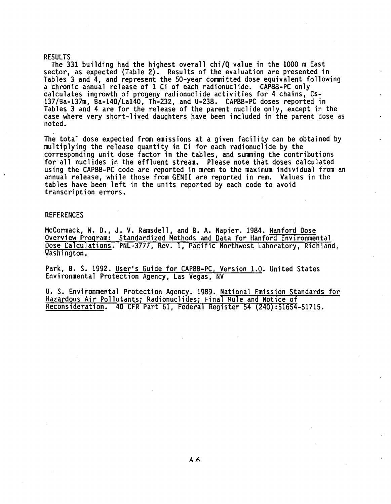#### **RESULTS**

**The 331 building had the highest overall chi/Q value in the 1000 m East sector, as expected (Table 2). Results of the evaluation are presented in Tables 3 and 4, and represent the 50-year committed dose equivalent following a chronic annual release of 1 Ci of each radionuclide. CAP88-PC only calculates ingrowth of progeny radionuclide activities for 4 chains, Cs-137lBa-137m, Ba-140/La140, Th-232, and U-238. CAP88-PC doses reported in Tables 3 and 4 are for the release of the parent nuclide only, except in the case where very short-lived daughters have been included in the parent dose as noted.** 

**The total dose expected from emissions at a given facility can be obtained by multiplying the release quantity in Ci for each radionuclide by the corresponding unit dose factor in the tables, and summing the contributions for all nuclides in the effluent stream. Please note that doses calculated using the CAP88-PC code are reported in mrem to the maximum individual from an annual release, while those from GENII are reported in rem. Values in the tables have been left in the units reported by each code to avoid transcription errors.** 

#### **REFERENCES**

**McCormack, W. D., J. V. Ramsdell, and 0. A. Napier. 1984. Hanford Dose Overview Program: Standardized Methods and Data for Hanford Environmental Dose Calculations. PNL-3777, Rev. 1, Pacific Northwest Laboratory, Rich1 and, Washington.** 

**Park, B. S. 1992. User's Guide for CAP88-PC, Version 1.0. United States**  Environmental Protection Agency, Las Vegas, NV

**U. S. Environmental Protection Agency. 1989. National Emission Standards for Hazardous Air Pol lutants; Radionucl ides; Final Rule and Notice of Reconsideration.** 40 CFR Part 61, Federal Register 54 (240):51654-51715.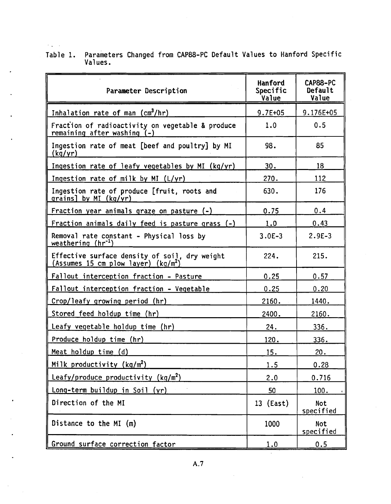| Table 1. Parameters Changed from CAP88-PC Default Values to Hanford Specific |  |  |  |  |
|------------------------------------------------------------------------------|--|--|--|--|
| Values.                                                                      |  |  |  |  |

| Parameter Description                                                                   | Hanford<br>Specific<br>Value | CAP88-PC<br>Default<br>Value |
|-----------------------------------------------------------------------------------------|------------------------------|------------------------------|
| Inhalation rate of man $(cm3/hr)$                                                       | $9.7E + 05$                  | 9.176E+05                    |
| Fraction of radioactivity on vegetable & produce<br>remaining after washing $(-)$       | 1.0                          | 0.5                          |
| Ingestion rate of meat [beef and poultry] by MI<br>$(k\bar{q}/vr)$                      | 98.                          | 85                           |
| Ingestion rate of leafy vegetables by MI (kg/yr)                                        | 30.                          | 18                           |
| Ingestion rate of milk by MI (L/yr)                                                     | 270.                         | 112                          |
| Ingestion rate of produce [fruit, roots and<br>grains] by MI (kg/yr)                    | 630.                         | 176                          |
| <u>Fraction year animals graze on pasture (-)</u>                                       | 0.75                         | 0.4                          |
| Fraction animals daily feed is pasture grass (-)                                        | 1.0                          | 0.43                         |
| Removal rate constant - Physical loss by<br>weathering $(hr^{-1})$                      | $3.0E - 3$                   | $2.9E-3$                     |
| Effective surface density of soil, dry weight<br>$(Assumes 15 cm plow layer)$ $(kg/m2)$ | 224.                         | 215.                         |
| Fallout interception fraction - Pasture                                                 | 0.25                         | 0.57                         |
| Fallout interception fraction - Vegetable                                               | 0.25                         | 0.20                         |
| Crop/leafy growing period (hr)                                                          | 2160.                        | 1440.                        |
| Stored feed holdup time (hr)                                                            | 2400.                        | 2160.                        |
| Leafy vegetable holdup time (hr)                                                        | 24.                          | 336.                         |
| Produce holdup time (hr)                                                                | 120.                         | 336.                         |
| Meat holdup time (d)                                                                    | 15.                          | 20.                          |
| Milk productivity $(kg/m^2)$                                                            | 1.5                          | 0.28                         |
| Leafy/produce productivity (kg/m <sup>2</sup> )                                         | 2,0                          | 0.716                        |
| Long-term buildup in Soil (yr)                                                          | 50                           | 100.                         |
| Direction of the MI                                                                     | $13$ (East)                  | <b>Not</b><br>specified      |
| Distance to the MI (m)                                                                  | 1000                         | Not<br><u>specified</u>      |
| Ground surface correction factor                                                        | 1.0                          | 0.5                          |

 $A.7$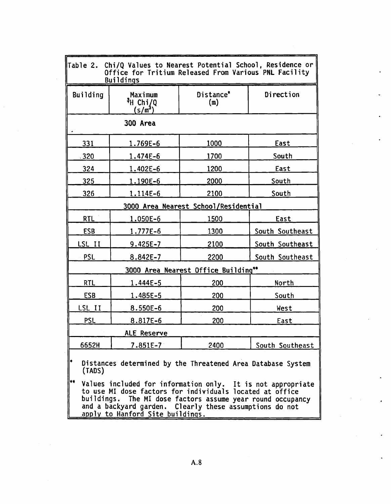| Table 2. Chi/Q Values to Nearest Potential School, Residence or<br>Office for Tritium Released From Various PNL Facility<br><b>Buildings</b>                                                                                                                                         |                                                         |                                      |                 |  |  |  |  |  |
|--------------------------------------------------------------------------------------------------------------------------------------------------------------------------------------------------------------------------------------------------------------------------------------|---------------------------------------------------------|--------------------------------------|-----------------|--|--|--|--|--|
| Building                                                                                                                                                                                                                                                                             | Maximum<br><sup>3</sup> H Chi/Q<br>$(s/\mathfrak{m}^3)$ | Distance <sup>*</sup><br>(m)         | Direction       |  |  |  |  |  |
| 300 Area                                                                                                                                                                                                                                                                             |                                                         |                                      |                 |  |  |  |  |  |
| 331                                                                                                                                                                                                                                                                                  | $1.769E - 6$                                            | <u>1000</u>                          | <u>East</u>     |  |  |  |  |  |
| .320                                                                                                                                                                                                                                                                                 | 1.474E-6                                                | 1700                                 | South           |  |  |  |  |  |
| 324                                                                                                                                                                                                                                                                                  | $1.402E - 6$                                            | 1200                                 | East            |  |  |  |  |  |
| 325                                                                                                                                                                                                                                                                                  | 1.190E-6                                                | 2000                                 | South           |  |  |  |  |  |
| 326                                                                                                                                                                                                                                                                                  | 1.114E-6                                                | 2100                                 | South           |  |  |  |  |  |
|                                                                                                                                                                                                                                                                                      |                                                         | 3000 Area Nearest School/Residential |                 |  |  |  |  |  |
| <b>RTL</b>                                                                                                                                                                                                                                                                           | 1.050E-6                                                | 1500                                 | East            |  |  |  |  |  |
| <b>ESB</b>                                                                                                                                                                                                                                                                           | $1.777E-6$                                              | 1300                                 | South Southeast |  |  |  |  |  |
| LSL II                                                                                                                                                                                                                                                                               | $9.425E - 7$                                            | 2100                                 | South Southeast |  |  |  |  |  |
| <b>PSL</b>                                                                                                                                                                                                                                                                           | 8.842E-7                                                | 2200                                 | South Southeast |  |  |  |  |  |
|                                                                                                                                                                                                                                                                                      |                                                         | 3000 Area Nearest Office Building"   |                 |  |  |  |  |  |
| <b>RTL</b>                                                                                                                                                                                                                                                                           | $1.444E-5$                                              | 200                                  | North           |  |  |  |  |  |
| <b>ESB</b>                                                                                                                                                                                                                                                                           | 1.485E-5                                                | 200                                  | South           |  |  |  |  |  |
| LSL II                                                                                                                                                                                                                                                                               | 8.550E-6                                                | 200                                  | West            |  |  |  |  |  |
| <b>PSL</b>                                                                                                                                                                                                                                                                           | 8.817E-6                                                | 200                                  | East            |  |  |  |  |  |
|                                                                                                                                                                                                                                                                                      | <b>ALE Reserve</b>                                      |                                      |                 |  |  |  |  |  |
| 6652H                                                                                                                                                                                                                                                                                | $7.851E-7$                                              | 2400                                 | South Southeast |  |  |  |  |  |
| Distances determined by the Threatened Area Database System<br>(TADS)                                                                                                                                                                                                                |                                                         |                                      |                 |  |  |  |  |  |
| Values included for information only. It is not appropriate<br>to use MI dose factors for individuals located at office<br>buildings. The MI dose factors assume year round occupancy<br>and a backyard garden. Clearly these assumptions do not<br>apply to Hanford Site buildings. |                                                         |                                      |                 |  |  |  |  |  |

 $A.8$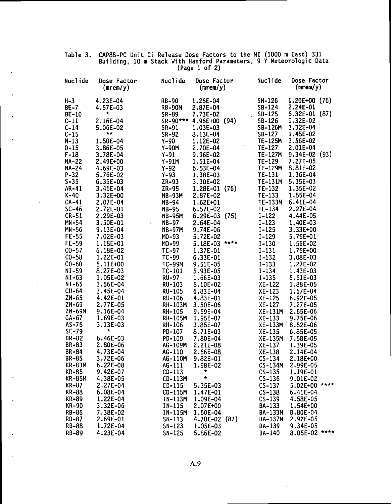| Table 3.  CAP88-PC Unit Ci Release Dose Factors to the MI (1000 m East) 331 |
|-----------------------------------------------------------------------------|
| Building, 10 m Stack With Hanford Parameters, 9 Y Meteorologic Data         |
| (Page 1 of 2)                                                               |

| Nuclide       | Dose Factor<br>(mrem/y) | Nuclide        | Dose Factor<br>(mrem/y) | Nuclide        | Dose Factor<br>(mrem/y) |
|---------------|-------------------------|----------------|-------------------------|----------------|-------------------------|
| $H - 3$       | 4.23E-04                | <b>RB-90</b>   | 1.26E-04                | $SN-126$       | $1.20E+00(76)$          |
| $BE-7$        | 4.57E-03                | <b>RB-90M</b>  | 2.87E-04                | SB-124         | 2.24E-01                |
| $BE-10$       | *                       | SR-89          | 7.73E-02                | $SB-125$       | $6.32E-01$ (87)         |
| $C-11$        | 2.16E-04                |                | SR-90*** 4.96E+00 (94)  | SB-126         | 9.32E-02                |
| $C-14$        | 5.06E-02                | SR-91          | 1.03E-03                | <b>SB-126M</b> | 3.32E-04                |
| $C-15$        | **                      | SR-92          | 8.13E-04                | $SB-127$       | 1.45E-02                |
| $N-13$        | 1.50E-04                | $Y-90$         | 1.12E-02                | <b>TE-125M</b> | 3.56E-02                |
| $0 - 15$      | 3.86E-05                | $Y-90M$        | 2.70E-04                | $TE-127$       | 2.01E-04                |
| $F-18$        | 3.78E-04                | $Y-91$         | 9.96E-02                | <b>TE-127M</b> | 9.34E-02 (93)           |
| <b>NA-22</b>  | 2.49E+00                | $Y-91M$        | 1.61E-04                | TE-129         | 7.27E-05                |
| <b>NA-24</b>  | 4.69E-03                | $Y-92$         | 6.53E-04                | TE-129M        | 8.81E-02                |
| $P-32$        | 5.76E-02                | $Y-93$         | 1.38E-03                | $TE-131$       | 1.36E-04                |
| $S-35$        | 6.35E-03                | $ZR-93$        | 3.30E-02                | TE-131M        | 5.35E-03                |
| AR-41         | 3.46E-04                | ZR-95          | $1.28E-01(76)$          | TE-132         | 1.35E-02                |
| $K-40$        | 3.32E+00                | <b>NB-93M</b>  | 2.87E-02                | $TE-133$       | 1.55E-04                |
| $CA-41$       | 2.07E-04                | <b>NB-94</b>   | $1.62E + 01$            | <b>TE-133M</b> | 6.41E-04                |
| $SC-46$       | 2.72E-01                | <b>NB-95</b>   | 6.57E-02                | TE-134         | 2.27E-04                |
| $CR-51$       | 2.29E-03                | <b>NB-95M</b>  | $6.29E-03(75)$          | $I-122$        | 4.44E-05                |
| $MN-54$       | 3.50E-01                | NB-97          | 2.64E-04                | $I - 123$      | 1.40E-03                |
| MN-56         | $9.13E - 04$            | <b>NB-97M</b>  | 9.74E-06                | $I-125$        | 3.33E+00                |
| $FE-55$       | 7.02E-03                | $MO-93$        | 5.72E-02                | $I - 129$      | 5.79E+01                |
| FE-59         | 1.18E-01                | $MO-99$        | ****<br>5.18E-03        | $I-130$        | 1.56E-02                |
| $CO-57$       | 6.18E-02                | $TC-97$        | 1.37E-01                | $I-131$        | 1.75E+00                |
| $CO-58$       | 1.22E-01                | $TC-99$        | 6.33E-01                | $I - 132$      | 3.08E-03                |
| $CO-60$       | 5.11E+00                | <b>TC-99M</b>  | 9.51E-05                | $I-133$        | 1.27E-02                |
| $NI-59$       | 8.27E-03                | $TC-101$       | 5.93E-05                | $I-134$        | 1.43E-03                |
| $NI-63$       | 1.05E-02                | <b>RU-97</b>   | 1.66E-03                | $I-135$        | $5.61E-03$              |
| $NI-65$       | 3.66E-04                | RU-103         | 5.10E-02                | XE-122         | 1.88E-05                |
| $CU-64$       | 3.45E-04                | RU-105         | 6.83E-04                | $XE-123$       | 1.67E-04                |
| $ZN-65$       | 4.42E-01                | <b>RU-106</b>  | 4.83E-01                | $XE-125$       | 6.92E-05                |
| $ZN-69$       | 2.77E-05                | RH-103M        | 3.50E-06                | $XE-127$       | 7.27E-05                |
| ZN-69M        | 9.16E-04                | <b>RH-105</b>  | 9.59E-04                | XE-131M        | 2.65E-06                |
| $GA-67$       | 1.69E-03                | <b>RH-105M</b> | 1.95E-07                | $XE-133$       | 9.75E-06                |
| $AS-76$       | $3.13E-03$              | RH-106         | 3.85E-07                | XE-133M        | 8.52E-06                |
| SE-79         | $\star$                 | PD-107         | 8.71E-03                | XE-135         | 6.85E-05                |
| <b>BR-82</b>  | 6.46E-03                | PD-109         | 7.80E-04                | XE-135M        | 7.58E-05                |
| <b>BR-83</b>  | 2.80E-06                | AG-109M        | 2.21E-08                | XE-137         | 1.39E-05                |
| <b>BR-84</b>  | 4.73E-04                | AG-110         | 2.66E-08                | XE-138         | 2.14E-04                |
| <b>BR-85</b>  | 3.72E-06                | AG-110M        | 9.82E-01                | $CS-134$       | 2.18E+00                |
| <b>KR-83M</b> | 6.22E-08                | $AG-111$       | 1.98E-02                | <b>CS-134M</b> | 2.99E-05                |
| <b>KR-85</b>  | 9.42E-07                | $CD-113$       | ÷                       | $CS-135$       | 1.19E-01                |
| <b>KR-85M</b> | 4.38E-05                | CD-113M        | $\star$                 | $CS-136$       | 9.01E-02                |
| <b>KR-87</b>  | 2.27E-04                | $CD-115$       | 5.35E-03                | $CS-137$       | ****<br>$5.02E + 00$    |
| <b>KR-88</b>  | 6.08E-04                | CD-115M        | 1.47E-01                | $CS-138$       | 6.41E-04                |
| <b>KR-89</b>  | 1.22E-04                | $IN-113M$      | 1.09E-04                | $CS-139$       | 4.58E-05                |
| <b>KR-90</b>  | 3.32E-06                | $IN-115$       | 2.07E+00                | BA-133         | 1.54E+00                |
| <b>RB-86</b>  | 7.38E-02                | $IN-115M$      | 1.60E-04                | <b>BA-133M</b> | 8.80E-04                |
| <b>RB-87</b>  | 2.69E-01                | $SN-113$       | 4.70E-02 (87)           | BA-137M        | 2.92E-05                |
| <b>RB-88</b>  | 1.72E-04                | $SN-123$       | 1.05E-03                | <b>BA-139</b>  | 9.34E-05                |
| <b>RB-89</b>  | 4.23E-04                | $SN-125$       | 5.86E-02                | <b>BA-140</b>  | 8.05E-02 ****           |

 $\ddot{\phantom{a}}$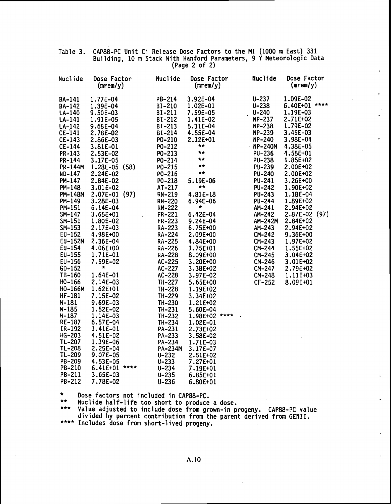| Table 3. CAP88-PC Unit Ci Release Dose Factors to the MI (1000 m East) 331 |  |
|----------------------------------------------------------------------------|--|
| Building, 10 m Stack With Hanford Parameters, 9 Y Meteorologic Data        |  |
| (Page 2 of 2)                                                              |  |

| Nuclide                        | Dose Factor<br>(mrem/y) | Nuclide          | Dose Factor<br>(mrem/y) | Nuclide                | Dose Factor<br>(mrem/y)   |
|--------------------------------|-------------------------|------------------|-------------------------|------------------------|---------------------------|
| <b>BA-141</b><br><b>BA-142</b> | 1.77E-04<br>1.39E-04    | PB-214<br>BI-210 | 3.92E-04<br>1.02E-01    | $U - 237$<br>$U - 238$ | 1.09E-02<br>6.40E+01 **** |
| LA-140                         | 9.50E-03                | BI-211           | 7.59E-05                | $U - 240$              | 1.19E-03                  |
| $LA-141$                       | 1.91E-05                | BI-212           | 1.41E-02                | <b>NP-237</b>          | 2.71E+02                  |
| $LA-142$                       | 9.68E-04                | BI-213           | 5.31E-04                | <b>NP-238</b>          | 1.79E-02                  |
| $CE-141$                       | 2.78E-02                | BI-214           | 4.55E-04                | NP-239                 | 3.46E-03                  |
| $CE-143$                       | 2.86E-03                | P0-210           | 2.12E+01                | <b>NP-240</b>          | 3.98E-04                  |
| $CE-144$                       | 3.81E-01                | P0-212           | **                      | $\cdot$ NP-240M        | 4.38E-05                  |
| PR-143                         | 2.53E-02                | $PO - 213$       | $+ +$                   | <b>PU-236</b>          | 4.55E+01                  |
| PR-144                         | 3.17E-05                | P0-214           | $+ +$                   | <b>PU-238</b>          | 1.85E+02                  |
| <b>PR-144M</b>                 | (58)<br>1.28E-05        | PO-215           | $+ +$                   | <b>PU-239</b>          | 2.00E+02                  |
| $ND-147$                       | 2.24E-02                | P0-216           | $***$                   | <b>PU-240</b>          | 2,00E+02                  |
| PM-147                         | 2.84E-02                | P0-218           | 5.19E-06                | <b>PU-241</b>          | 3.26E+00                  |
| PM-148                         | 3.01E-02                | AT-217           | $***$                   | <b>PU-242</b>          | 1.90E+02                  |
| <b>PM-148M</b>                 | $2.07E-01$ (97)         | <b>RN-219</b>    | 4.81E-18                | <b>PU-243</b>          | 1.18E-04                  |
| PM-149                         | 3.28E-03                | <b>RN-220</b>    | 6.94E-06                | <b>PU-244</b>          | 1.89E+02                  |
| PM-151                         | 6.14E-04                | <b>RN-222</b>    | $\star$                 | AM-241                 | 2.94E+02                  |
| SM-147                         | 3.65E+01                | FR-221           | 6.42E-04                | AM-242                 | 2.87E-02<br>(97)          |
| $SM-151$                       | 1.80E-02                | FR-223           | 9.24E-04                | AM-242M                | 2.84E+02                  |
| $SM-153$                       | 2.17E-03                | RA-223           | 6.75E+00                | AM-243                 | 2.94E+02                  |
| EU-152                         | 4.98E+00                | <b>RA-224</b>    | 2.09E+00                | CM-242                 | 9.36E+00                  |
| EU-152M                        | 2.36E-04                | RA-225           | 4.84E+00                | $CM-243$               | 1.97E+02                  |
| EU-154                         | 4.06E+00                | RA-226           | 1.75E+01                | CM-244                 | 1.55E+02                  |
| EU-155                         | 1.71E-01                | RA-228           | 8.09E+00                | CM-245                 | $3.04E + 02$              |
| EU-156                         | 7.59E-02                | $AC-225$         | 3.20E+00                | CM-246                 | 3.01E+02                  |
| $GD-152$                       | *                       | $AC-227$         | 3.38E+02                | CM-247                 | 2.79E+02                  |
| TB-160                         | 1.64E-01                | $AC-228$         | 3.97E-02                | CM-248                 | 1.11E+03                  |
| $HO - 166$                     | 2.14E-03                | <b>TH-227</b>    | 5.65E+00                | $CF-252$               | 8.09E+01                  |
| HO-166M                        | 1.62E+01                | <b>TH-228</b>    | 1.19E+02                |                        |                           |
| <b>HF-181</b>                  | 7.15E-02                | TH-229           | 3.34E+02                |                        |                           |
| $W-181$                        | 9.69E-03                | <b>TH-230</b>    | 1.21E+02                |                        |                           |
| $W - 185$                      | 1.52E-02                | <b>TH-231</b>    | 5.60E-04                |                        |                           |
| $W-187$                        | 1.14E-03                | <b>TH-232</b>    | 1.98E+02<br>****        |                        |                           |
| RE-187                         | 6.57E-04                | <b>TH-234</b>    | 1.02E-01                |                        |                           |
| IR-192<br>HG-203               | 1.41E-01                | PA-231           | 2.73E+02                |                        |                           |
| <b>TL-207</b>                  | 4.51E-02<br>1.39E-06    | PA-233<br>PA-234 | 3.58E-02<br>1.71E-03    |                        |                           |
| TL-208                         | 2.25E-04                | PA-234M          | 3.17E-07                |                        |                           |
| TL-209                         | 9.07E-05                | $U - 232$        | 2.51E+02                |                        |                           |
| PB-209                         | 4.53E-05                | $U - 233$        | 7.27E+01                |                        |                           |
| PB-210                         | 6.41E+01 ****           | $U - 234$        | 7.19E+01                |                        |                           |
| PB-211                         | 3.65E-03                | $U - 235$        | 6.85E+01                |                        |                           |
| PB-212                         | 7.78E-02                | $U - 236$        | 6.80E+01                |                        |                           |

\* Dose factors not included in CAP88-P<mark>C.</mark><br>\*\* Nuclide half-life too short to produce a dose.<br>\*\*\* Value adjusted to include dose from grown-in progeny. CAP88-PC value divided by percent contribution from grown-in progeny. CAP88-PC value<br>\*\*\* Value adjusted to include dose from grown-in progeny. CAP88-PC value<br>divided by percent contribution from the parent derived from GENII.<br>\*\*\*\* Includ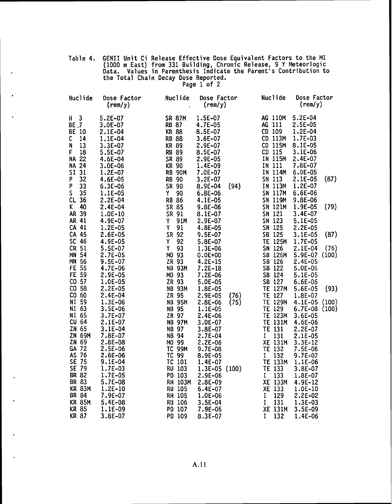Table 4. GENII Unit Ci Release Effective Dose Equivalent Factors to the MI (1000 m East) from 331 Building, Chronic Release, 9 Y Meteorlogic Data. Values in Parenthesis Indicate the Parent's Contribution to the Total Chain Decay Dose Reported. Page 1 of 2

| Page<br>0Ť |  |  |
|------------|--|--|
|------------|--|--|

|                                                                                                                                                               |                                                                                                                                         |                                                                                                                                                                             | rage 1 vi 4                                                                                                                                      |                                                                                                                                                            |                                                                                                                                                           |
|---------------------------------------------------------------------------------------------------------------------------------------------------------------|-----------------------------------------------------------------------------------------------------------------------------------------|-----------------------------------------------------------------------------------------------------------------------------------------------------------------------------|--------------------------------------------------------------------------------------------------------------------------------------------------|------------------------------------------------------------------------------------------------------------------------------------------------------------|-----------------------------------------------------------------------------------------------------------------------------------------------------------|
| Nuclide                                                                                                                                                       | Dose Factor<br>(rem/y)                                                                                                                  | Nuclide                                                                                                                                                                     | Dose Factor<br>(rem/y)                                                                                                                           | Nuclide                                                                                                                                                    | Dose Factor<br>(rem/y)                                                                                                                                    |
| 3<br>H.<br>BE .7<br><b>BE 10</b><br>14<br>C<br>N<br>13<br>F<br>18<br><b>NA 22</b><br><b>NA 24</b><br>31<br>SI.<br>P<br>32<br>P<br>33<br>S<br>35               | 5.2E-07<br>$3.0E-07$<br>2.1E-04<br>1.1E-04<br>$3.3E-07$<br>5.5E-07<br>4.6E-04<br>$3.0E-06$<br>1.2E-07<br>4.6E-05<br>6.3E-06<br>1.1E-05  | <b>SR 87M</b><br><b>RB 87</b><br><b>KR 88</b><br><b>RB 88</b><br><b>KR 89</b><br><b>RB 89</b><br>SR 89<br><b>KR 90</b><br><b>RB 90M</b><br><b>RB 90</b><br>SR 90<br>Y<br>90 | 1.5E-07<br>4.7E-05<br>8.5E-07<br>3.6E-07<br>2.9E-07<br>8.5E-07<br>2.9E-05<br>1.4E-09<br>7.0E-07<br>$3.2E - 07$<br>8.9E-04<br>(94)<br>$6.8E - 06$ | AG 110M<br>AG 111<br>CD 109<br>CD 113M<br>CD 115M<br>CD 115<br>IN 115M<br>IN 111<br>IN 114M<br>SN 113<br>IN 113M<br><b>SN 117M</b>                         | $5.2E - 04$<br>2.5E-05<br>1.2E-04<br>1.7E-03<br>8.1E-05<br>$3.1E-06$<br>$2.4E-07$<br>7.8E-07<br>$6.0E-05$<br>2.1E-05<br>(87)<br>1.2E-07<br>$6.6E-06$      |
| 36<br>CL.<br>40<br>K<br>39<br><b>AR</b><br>AR 41<br>CA 41                                                                                                     | $2.2E - 04$<br>$2.4E - 04$<br>$1.0E-10$<br>4.9E-07<br>$1.2E - 05$                                                                       | <b>RB 86</b><br>SR 85<br>SR 91<br>Υ<br>91M<br>Y<br>91                                                                                                                       | 4.1E-05<br>$9.8E - 06$<br>8.1E-07<br>2.9E-07<br>4.8E-05                                                                                          | SN 119M<br><b>SN 121M</b><br>SN 121<br>SN 123<br>SN 125                                                                                                    | 9.8E-06<br>1.9E-05<br>(79)<br>$3.4E-07$<br>5.1E-05<br>$2.2E - 05$                                                                                         |
| CA 45<br><b>SC</b><br>-46                                                                                                                                     | $2.6E-05$<br>4.9E-05                                                                                                                    | SR 92<br>92<br>Υ                                                                                                                                                            | 9.5E-07<br>5.8E-07                                                                                                                               | SB 125<br><b>TE 125M</b>                                                                                                                                   | $3.1E-05$<br>(87)<br>1.7E-05                                                                                                                              |
| <b>CR</b><br>51<br>MN<br>54<br>ΜN<br>56<br>FE<br>55<br>FE 59<br>CO<br>-57                                                                                     | 5.5E-07<br>2.7E-05<br>$9.5E - 07$<br>4.7E-06<br>2.9E-05<br>1.0E-05                                                                      | Y.<br>93<br>MO 93<br>ZR 93<br><b>NB 93M</b><br>MO 93<br>ZR 93                                                                                                               | 1.3E-06<br>$0.0E + 00$<br>$4.2E-15$<br>$7.2E-18$<br>7.2E-06<br>5.0E-05                                                                           | SN 126<br>SB 126M<br>SB 126<br>SB 122<br>SB 124<br>SB 127                                                                                                  | $2.1E-04$<br>(76)<br>5.9E-07<br>(100)<br>2.4E-05<br>5.0E-06<br>$5.1E-05$<br>$6.6E-06$                                                                     |
| $\mathsf{CO}$<br>58<br>$\mathsf{C}0$<br>60<br>59<br>NI<br>ΝI<br>63<br>ΝI<br>65<br><b>CU</b><br>-64<br>ZN 65<br>ZN<br>69M<br>ΖN<br>69<br>GA<br>72<br>AS<br>-76 | 2.2E-05<br>$2.4E - 04$<br>1.3E-06<br>$3.5E - 06$<br>$3.7E-07$<br>$2.1E-07$<br>$3.1E-04$<br>7.8E-07<br>2.8E-08<br>$2.5E-06$<br>$2.6E-06$ | <b>NB 93M</b><br>ZR 95<br><b>NB 95M</b><br><b>NB 95</b><br>ZR 97<br><b>NB 97M</b><br><b>NB 97</b><br><b>NB 94</b><br>MO 99<br>TC 99M<br>TC 99                               | 1.8E-05<br>2.9E-05<br>(76)<br>2.8E-06<br>(75)<br>1.1E-05<br>$2.4E - 06$<br>$3.0E-07$<br>$3.8E-07$<br>2.7E-04<br>$2.2E-06$<br>9.7E-08<br>8.9E-05  | <b>TE 127M</b><br>TE 127<br><b>TE 129M</b><br>TE 129<br><b>TE 123M</b><br><b>TE 131M</b><br>TE 131<br>131<br>$\mathbf{I}$<br>XE 131M<br>TE 132<br>I<br>132 | $5.6E-05$<br>(93)<br>1.8E-07<br>$4.1E-05$<br>(100)<br>$6.7E-08$<br>(100)<br>$3.6E-05$<br>4.6E-06<br>2.2E-07<br>2.1E-05<br>$3.3E-12$<br>7.5E-06<br>9.7E-07 |
| SE 75<br>SE 79<br>BR 82<br>BR 83<br><b>KR 83M</b><br>BR 84<br><b>KR 85M</b><br><b>KR 85</b><br><b>KR 87</b>                                                   | $9.1E - 04$<br>$1.7E-03$<br>1.7E-05<br>5.7E-08<br>$1.2E-10$<br>7.9E-07<br>5.4E-08<br>1.1E-09<br>3.8E-07                                 | <b>TC 101</b><br><b>RU 103</b><br>PD 103<br><b>RH 103M</b><br><b>RU 105</b><br>RH 105<br><b>RU 106</b><br>PD 107<br>PD 109                                                  | 1.4E-07<br>$1.3E-05$ (100)<br>2.9E-06<br>2.8E-09<br>$6.4E-07$<br>1.0E-06<br>$3.5E-04$<br>7.9E-06<br>8.3E-07                                      | <b>TE 133M</b><br>TE 133<br>133<br>$\mathbf{I}$<br>XE 133M<br>XE 133<br>129<br>I<br>131<br>I<br>XE 131M<br>132<br>1                                        | 1.1E-06<br>3.8E-07<br>1.8E-07<br>4.9E-12<br>$1.0E-10$<br>$2.2E-02$<br>$1.3E-03$<br>$3.5E-09$<br>1.4E-06                                                   |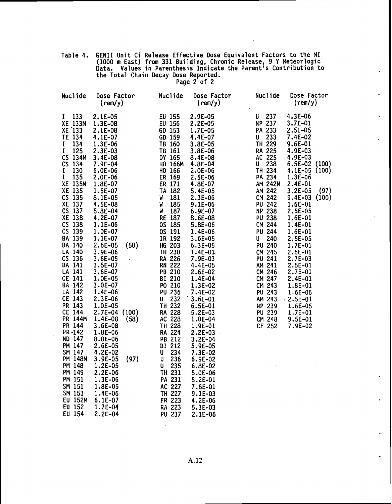Table 4. GENII Unit Ci Release Effective Dose Equivalent Factors to the MI (1000 m East) from 331 Building, Chronic Release, 9 Y Meteorlogic Data. Values in Parenthesis Indicate the Parent's Contribution to the Total Chain Decay Dose Reported. Page 2 of 2

 $\ddot{\phantom{a}}$ 

| Nuclide<br>Dose Factor<br>(rem/y)                                                                                                                                                                                                                                                                                                                                                                                                                                                                                                                                                                                                                                                                                                                                                                                                                                                                                                                                                                                                |                      | Nuclide                                                                                                                                                                                                                                                                                                                                                                                                                                                                                                               | Dose Factor<br>$(\text{rem/y})$                                                                                                                                                                                                                                                                                                                                                                                                                                                                                      | Nuclide                                                                                                                                                                                                                                                                                                                                                                                                            | Dose Factor<br>(rem/y)                                                                                                                                                                                                                                                                                                                                                                                        |
|----------------------------------------------------------------------------------------------------------------------------------------------------------------------------------------------------------------------------------------------------------------------------------------------------------------------------------------------------------------------------------------------------------------------------------------------------------------------------------------------------------------------------------------------------------------------------------------------------------------------------------------------------------------------------------------------------------------------------------------------------------------------------------------------------------------------------------------------------------------------------------------------------------------------------------------------------------------------------------------------------------------------------------|----------------------|-----------------------------------------------------------------------------------------------------------------------------------------------------------------------------------------------------------------------------------------------------------------------------------------------------------------------------------------------------------------------------------------------------------------------------------------------------------------------------------------------------------------------|----------------------------------------------------------------------------------------------------------------------------------------------------------------------------------------------------------------------------------------------------------------------------------------------------------------------------------------------------------------------------------------------------------------------------------------------------------------------------------------------------------------------|--------------------------------------------------------------------------------------------------------------------------------------------------------------------------------------------------------------------------------------------------------------------------------------------------------------------------------------------------------------------------------------------------------------------|---------------------------------------------------------------------------------------------------------------------------------------------------------------------------------------------------------------------------------------------------------------------------------------------------------------------------------------------------------------------------------------------------------------|
| 133<br>2.1E-05<br>I<br><b>XE 133M</b><br>1.3E-08<br>XE '133<br>2.1E-08<br><b>TE 134</b><br>4.1E-07<br>134<br>1.3E-06<br>I<br>125<br>2.3E-03<br>I<br><b>CS 134M</b><br>$3.4E-08$<br>CS 134<br>7.9E-04<br>I<br>130<br>$6.0E-06$<br>I<br>135<br>2.0E-06<br>XE 135M<br>1.8E-07<br>XE 135<br>1.5E-07<br>CS 135<br>8.1E-05<br>XE 137<br>4.5E-08<br>CS 137<br>5.8E-04<br>XE 138<br>4.2E-07<br>CS 138<br>1.1E-06<br>CS 139<br>1.0E-07<br><b>BA 139</b><br>1.1E-07<br><b>BA 140</b><br>2.6E-05<br>LA 140<br>3.9E-06<br>CS 136<br>$3.6E-05$<br><b>BA 141</b><br>$3.5E-07$<br>LA 141<br>$3.6E-07$<br>CE 141<br>1.0E-05<br>BA 142<br>$3.0E-07$<br>LA 142<br>1.4E-06<br>CE 143<br>$2.3E-06$<br>PR 143<br>1.0E-05<br>CE 144<br>2.7E-04 (100)<br><b>PR 144M</b><br>1.4E-08<br>PR 144<br>$3.6E - 08$<br>PR -142<br>1.8E-06<br><b>ND 147</b><br>$8.0E - 06$<br>2.6E-05<br>PM 147<br>SM 147<br>4.2E-02<br><b>PM 148M</b><br>$3.9E-05$<br>PM 148<br>1.2E-05<br>PM 149<br>$2.2E - 06$<br>PM 151<br>1.3E-06<br>SM 151<br>1.8E-05<br>SM 153<br>1.4E-06 | (50)<br>(58)<br>(97) | EU 155<br>EU 156<br>GD 153<br>GD 159<br>TB 160<br>TB 161<br>DY 165<br>HO 166M<br>HO 166<br>ER 169<br>ER 171<br>TA 182<br>W<br>181<br>W<br>185<br>187<br>W<br><b>RE 187</b><br><b>0S 185</b><br>OS 191<br>IR 192<br><b>HG 203</b><br><b>TH 230</b><br><b>RA 226</b><br><b>RN 222</b><br>PB 210<br>BI 210<br>PO 210<br><b>PU 236</b><br>232<br>U<br>TH 232<br>RA 228<br>AC 228<br><b>TH 228</b><br><b>RA 224</b><br><b>PB 212</b><br>BI 212<br>234<br>U<br>236<br>U<br>235<br>U<br>TH 231<br>PA 231<br>AC 227<br>TH 227 | 2.9E-05<br>$2.2E - 05$<br>1.7E-05<br>4.4E-07<br>3.8E-05<br>$3.8E - 06$<br>8.4E-08<br>4.8E-04<br>$2.0E-06$<br>2.5E-06<br>4.8E-07<br>5.4E-05<br>$2.3E-06$<br>$9.1E-06$<br>6.9E-07<br>8.6E-08<br>5.8E-06<br>1.4E-06<br>$3.6E-05$<br>$6.3E - 05$<br>1.4E-01<br>7.9E-03<br>4.4E-05<br>$2.6E-02$<br>1.4E-04<br>1.3E-02<br>7.4E-02<br>$3.6E-01$<br>$6.5E-01$<br>$5.2E-03$<br>$1.0E - 04$<br>1.9E-01<br>$2.2E-03$<br>$3.2E-04$<br>5.9E-05<br>7.3E-02<br>$6.9E-02$<br>6.8E-02<br>$5.0E-06$<br>5.2E-01<br>7.6E-01<br>$9.1E-03$ | 237<br>U<br><b>NP 237</b><br>PA 233<br>233<br>U<br>TH 229<br><b>RA 225</b><br>AC 225<br>238<br>U<br>TH 234<br>PA 234<br>AM 242M<br>AM 242<br>CM 242<br><b>PU 242</b><br><b>NP 238</b><br><b>PU 238</b><br>CM 244<br><b>PU 244</b><br>240<br>U<br><b>PU 240</b><br>CM 245<br><b>PU 241</b><br>AM 241<br>CM 246<br>CM 247<br>CM 243<br><b>PU 243</b><br>AM 243<br><b>NP 239</b><br><b>PU 239</b><br>CM 248<br>CF 252 | 4.3E-06<br>3.7E-01<br>2.5E-05<br>7.4E-02<br>9.6E-01<br>4.9E-03<br>4.9E-03<br>$6.5E-02$<br>(100)<br>4.1E-05<br>(100)<br>1.3E-06<br>2.4E-01<br>$3.2E - 05$<br>(97)<br>$9.4E - 03$<br>(100)<br>1.6E-01<br>2.5E-05<br>1.6E-01<br>1.4E-01<br>1.6E-01<br>2.5E-05<br>1.7E-01<br>2.6E-01<br>$2.7E-03$<br>2.5E-01<br>2.7E-01<br>2.4E-01<br>1.8E-01<br>1.6E-06<br>$2.5E-01$<br>1.6E-05<br>1.7E-01<br>9.5E-01<br>7.9E-02 |
| <b>EU 152M</b><br>$6.1E-07$<br>EU 152<br>1.7E-04<br>EU 154<br>2.2E-04                                                                                                                                                                                                                                                                                                                                                                                                                                                                                                                                                                                                                                                                                                                                                                                                                                                                                                                                                            |                      | FR 223<br>RA 223<br><b>PU 237</b>                                                                                                                                                                                                                                                                                                                                                                                                                                                                                     | 4.2E-06<br>5.3E-03<br>$2.1E-06$                                                                                                                                                                                                                                                                                                                                                                                                                                                                                      |                                                                                                                                                                                                                                                                                                                                                                                                                    |                                                                                                                                                                                                                                                                                                                                                                                                               |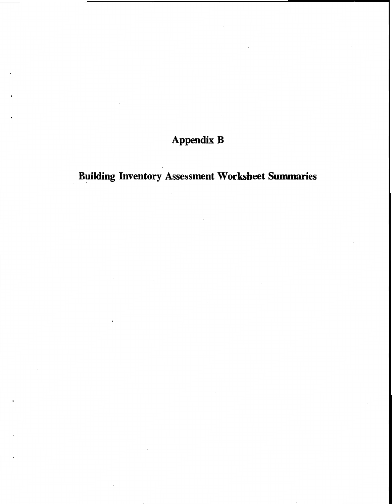## **Appendix B**

**Building Inventory Assessment Worksheet Summaries**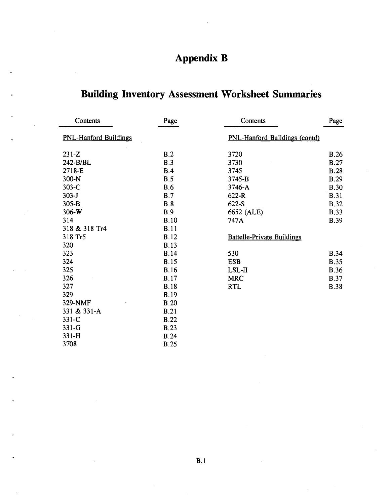## **Appendix B**

| Contents                     | Page        | Contents                          | Page        |
|------------------------------|-------------|-----------------------------------|-------------|
| <b>PNL-Hanford Buildings</b> |             | PNL-Hanford Buildings (contd)     |             |
| $231 - Z$                    | B.2         | 3720                              | <b>B.26</b> |
| 242-B/BL                     | B.3         | 3730                              | <b>B.27</b> |
| 2718-E                       | B.4         | 3745                              | <b>B.28</b> |
| 300-N                        | B.5         | 3745-B                            | <b>B.29</b> |
| $303-C$                      | <b>B.6</b>  | 3746-A                            | <b>B.30</b> |
| $303-J$                      | B.7         | $622-R$                           | <b>B.31</b> |
| $305-B$                      | B.8         | $622-S$                           | <b>B.32</b> |
| $306-W$                      | B.9         | 6652 (ALE)                        | <b>B.33</b> |
| 314                          | <b>B.10</b> | 747A                              | <b>B.39</b> |
| 318 & 318 Tr4                | <b>B.11</b> |                                   |             |
| 318 Tr5                      | <b>B.12</b> | <b>Battelle-Private Buildings</b> |             |
| 320                          | <b>B.13</b> |                                   |             |
| 323                          | <b>B.14</b> | 530                               | <b>B.34</b> |
| 324                          | <b>B.15</b> | <b>ESB</b>                        | <b>B.35</b> |
| 325                          | <b>B.16</b> | LSL-II                            | <b>B.36</b> |
| 326                          | <b>B.17</b> | <b>MRC</b>                        | <b>B.37</b> |
| 327                          | <b>B.18</b> | <b>RTL</b>                        | <b>B.38</b> |
| 329                          | <b>B.19</b> |                                   |             |
| 329-NMF                      | <b>B.20</b> |                                   |             |
| 331 & 331-A                  | B.21        |                                   |             |
| $331-C$                      | <b>B.22</b> |                                   |             |
| $331-G$                      | <b>B.23</b> |                                   |             |
| $331-H$                      | <b>B.24</b> |                                   |             |
| 3708                         | <b>B.25</b> |                                   |             |

## **Building Inventory Assessment Worksheet Summaries**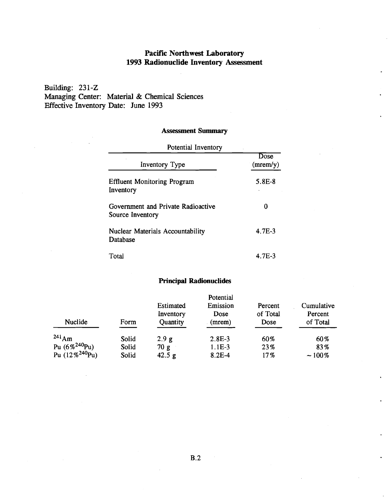## **Pacific Northwest Laboratory 1993 Radionuclide Inventory Assessment**

Building: 231-Z Managing Center: Material & Chemical Sciences Effective Inventory Date: June 1993

## **Assessment Summary**

| Potential Inventory                                    |                  |
|--------------------------------------------------------|------------------|
| Inventory Type                                         | Dose<br>(mrem/y) |
| <b>Effluent Monitoring Program</b><br>Inventory        | 5.8E-8           |
| Government and Private Radioactive<br>Source Inventory | 0                |
| Nuclear Materials Accountability<br>Database           | $4.7E-3$         |
| Total                                                  | 4.7E-3           |

### **Principal Radionuclides**

| Nuclide             | Form  | Estimated<br>Inventory<br>Quantity | Potential<br>Emission<br>Dose<br>(mrem) | Percent<br>of Total<br>Dose | Cumulative<br>Percent<br>of Total |
|---------------------|-------|------------------------------------|-----------------------------------------|-----------------------------|-----------------------------------|
| $^{241}$ Am         | Solid | 2.9 g                              | $2.8E-3$                                | 60%                         | 60%                               |
| Pu $(6\%^{240}Pu)$  | Solid | 70g                                | $1.1E-3$                                | 23%                         | 83%                               |
| Pu $(12\%^{240}Pu)$ | Solid | 42.5 g                             | $8.2E-4$                                | 17%                         | $-100\%$                          |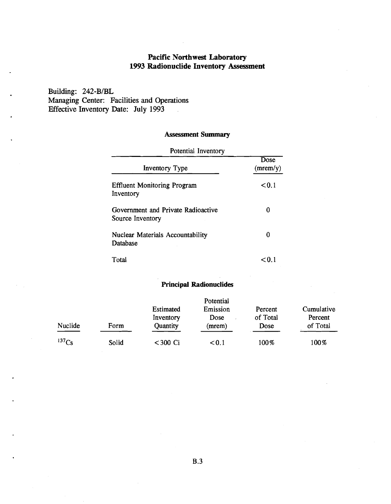## **Pacific Northwest Laboratory 1993 Radionuclide Inventory Assessment**

Building: **242-B/BL**  Managing Center: Facilities and Operations Effective Inventory Date: July 1993

### **Assessment Summary**

| Potential Inventory                                    |                         |
|--------------------------------------------------------|-------------------------|
| Inventory Type                                         | <b>Dose</b><br>(mrem/y) |
| <b>Effluent Monitoring Program</b><br>Inventory        | < 0.1                   |
| Government and Private Radioactive<br>Source Inventory | O                       |
| <b>Nuclear Materials Accountability</b><br>Database    | O                       |
| Total                                                  |                         |

## **Principal Radionuclides**

| Nuclide    | Form  | <b>Estimated</b><br>Inventory<br>Quantity | Potential<br>Emission<br>Dose | Percent<br>of Total | Cumulative<br>Percent<br>of Total |
|------------|-------|-------------------------------------------|-------------------------------|---------------------|-----------------------------------|
| $^{137}Cs$ | Solid | <300 Ci                                   | (mrem)<br>< 0.1               | Dose<br>100%        | 100%                              |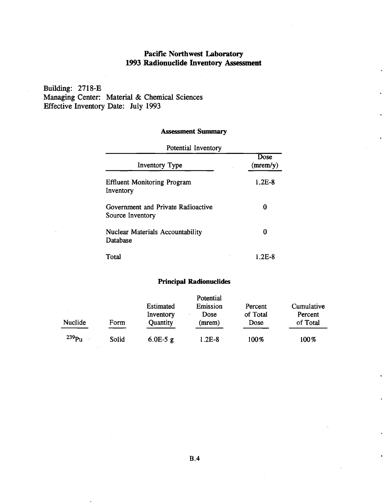## **Pacific Northwest Laboratory 1993 Radionuclide Inventory Assessment**

Building: 271 **8-E**  Managing Center: Material & Chemical Sciences Effective Inventory Date: July 1993

### **Assessment Summary**

| Potential Inventory                                    |                  |  |  |  |
|--------------------------------------------------------|------------------|--|--|--|
| Inventory Type                                         | Dose<br>(mrem/y) |  |  |  |
| <b>Effluent Monitoring Program</b><br>Inventory        | $1.2E-8$         |  |  |  |
| Government and Private Radioactive<br>Source Inventory | 0                |  |  |  |
| <b>Nuclear Materials Accountability</b><br>Database    | 0                |  |  |  |
| Total                                                  | 1.2E-8           |  |  |  |

### **Principal Radionuclides**

| Nuclide            | Form  | <b>Estimated</b><br>Inventory<br>Quantity | Potential<br>Emission<br>Dose<br>(mrem) | Percent<br>of Total<br>Dose | Cumulative<br>Percent<br>of Total |
|--------------------|-------|-------------------------------------------|-----------------------------------------|-----------------------------|-----------------------------------|
| 239 <sub>P11</sub> | Solid | $6.0E-5g$                                 | $1.2E-8$                                | 100%                        | 100%                              |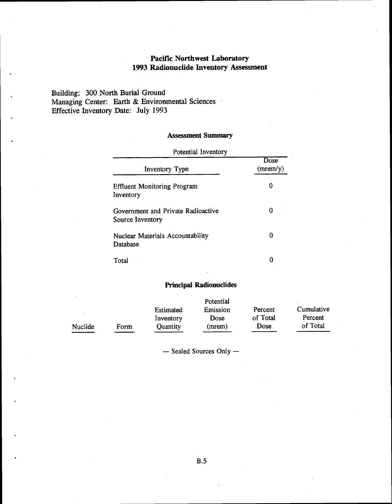# Building: 300 North Burial Ground **Managing** Center: **Earth** & Environmental Sciences Effective Inventory Date: July 1993

#### **Assessment** *Summary*

| Potential Inventory                                    |                  |  |  |  |
|--------------------------------------------------------|------------------|--|--|--|
| Inventory Type                                         | Dose<br>(mrem/y) |  |  |  |
| <b>Effluent Monitoring Program</b><br>Inventory        | 0                |  |  |  |
| Government and Private Radioactive<br>Source Inventory |                  |  |  |  |
| <b>Nuclear Materials Accountability</b><br>Database    | 0                |  |  |  |
| Total                                                  |                  |  |  |  |

## **Principal Radionuclides**

|         |      |                                    | <b>Principal Radionuclides</b>          |                             |                                   |
|---------|------|------------------------------------|-----------------------------------------|-----------------------------|-----------------------------------|
| Nuclide | Form | Estimated<br>Inventory<br>Quantity | Potential<br>Emission<br>Dose<br>(mrem) | Percent<br>of Total<br>Dose | Cumulative<br>Percent<br>of Total |

- Sealed Sources Only -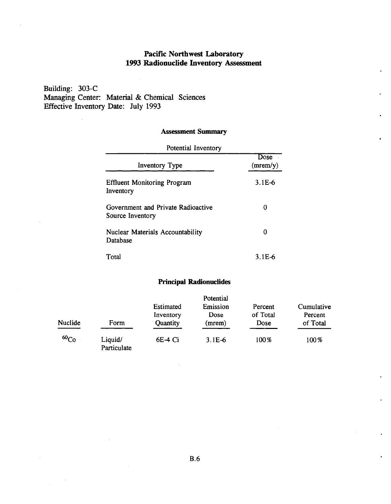Building: 303-C Managing Center: Material & Chemical Sciences Effective Inventory Date: July 1993

## **Assessment Summary**

| Potential Inventory                                    |                  |  |  |  |
|--------------------------------------------------------|------------------|--|--|--|
| Inventory Type                                         | Dose<br>(mrem/y) |  |  |  |
| <b>Effluent Monitoring Program</b><br>Inventory        | $3.1E - 6$       |  |  |  |
| Government and Private Radioactive<br>Source Inventory | 0                |  |  |  |
| Nuclear Materials Accountability<br>Database           | O                |  |  |  |
| Total                                                  | 3.1E-6           |  |  |  |

| Nuclide          | Form                   | Estimated<br>Inventory<br>Quantity | Potential<br>Emission<br>Dose<br>(mrem) | Percent<br>of Total<br>Dose | Cumulative<br>Percent<br>of Total |
|------------------|------------------------|------------------------------------|-----------------------------------------|-----------------------------|-----------------------------------|
| 60 <sub>Co</sub> | Liquid/<br>Particulate | 6E-4 Ci                            | 3.1E-6                                  | $100\%$                     | 100%                              |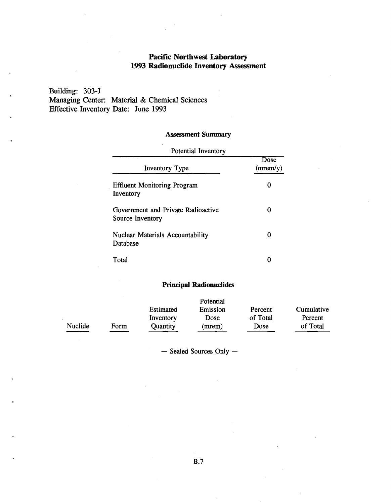Building: **303-J**  Managing Center: Material & Chemical Sciences Effective Inventory Date: June 1993

## **Assessment Summary**

| Potential Inventory                                    |                  |  |  |  |
|--------------------------------------------------------|------------------|--|--|--|
| Inventory Type                                         | Dose<br>(mrem/y) |  |  |  |
| <b>Effluent Monitoring Program</b><br>Inventory        |                  |  |  |  |
| Government and Private Radioactive<br>Source Inventory |                  |  |  |  |
| Nuclear Materials Accountability<br>Database           |                  |  |  |  |
| Total                                                  |                  |  |  |  |

## **Principal Radionuclides**

|                |      |                 | Potential |          |            |
|----------------|------|-----------------|-----------|----------|------------|
|                |      | Estimated       | Emission  | Percent  | Cumulative |
|                |      | Inventory       | Dose      | of Total | Percent    |
| <b>Nuclide</b> | Form | <b>Ouantity</b> | (mrem)    | Dose     | of Total   |

- Sealed Sources Only -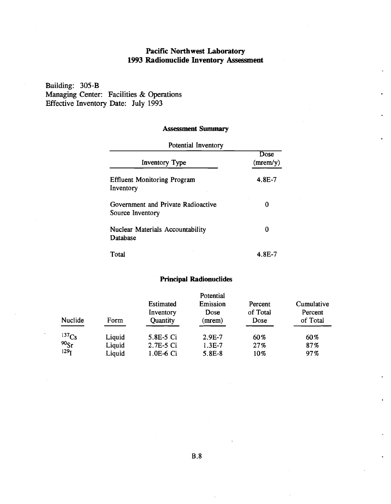Building: 305-B Managing Center: Facilities & Operations Effective Inventory Date: July 1993

#### **Assessment Summary**

| Potential Inventory                                    |                  |  |  |  |
|--------------------------------------------------------|------------------|--|--|--|
| <b>Inventory Type</b>                                  | Dose<br>(mrem/y) |  |  |  |
| <b>Effluent Monitoring Program</b><br>Inventory        | 4.8E-7           |  |  |  |
| Government and Private Radioactive<br>Source Inventory | O                |  |  |  |
| Nuclear Materials Accountability<br>Database           | 0                |  |  |  |
| Total                                                  | 4.8E-7           |  |  |  |

|                                                  |                            |                                     | Potential                        |                             |                                   |
|--------------------------------------------------|----------------------------|-------------------------------------|----------------------------------|-----------------------------|-----------------------------------|
| Nuclide                                          | Form                       | Estimated<br>Inventory<br>Quantity  | Emission<br>Dose<br>(mrem)       | Percent<br>of Total<br>Dose | Cumulative<br>Percent<br>of Total |
| 137 <sub>Cs</sub><br>$90$ Sr<br>129 <sub>T</sub> | Liquid<br>Liquid<br>Liquid | 5.8E-5 Ci<br>2.7E-5 Ci<br>1.0E-6 Ci | $2.9E-7$<br>$1.3E-7$<br>$5.8E-8$ | 60%<br>27%<br>10%           | 60%<br>87%<br>97%                 |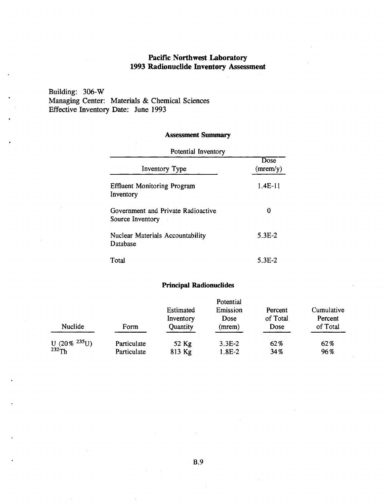Building: **306-W**  Managing Center: Materials & Chemical Sciences Effective Inventory Date: June 1993

## **Assessment Summary**

| Potential Inventory                                    |                  |  |  |  |
|--------------------------------------------------------|------------------|--|--|--|
| Inventory Type                                         | Dose<br>(mrem/y) |  |  |  |
| <b>Effluent Monitoring Program</b><br>Inventory        | $1.4E-11$        |  |  |  |
| Government and Private Radioactive<br>Source Inventory | 0                |  |  |  |
| Nuclear Materials Accountability<br>Database           | $5.3E-2$         |  |  |  |
| Total                                                  | 5.3E-2           |  |  |  |

| Nuclide                                 | Form        | Estimated<br>Inventory<br>Quantity | Potential<br>Emission<br>Dose<br>(mrem) | Percent<br>of Total<br>Dose | Cumulative<br>Percent<br>of Total |
|-----------------------------------------|-------------|------------------------------------|-----------------------------------------|-----------------------------|-----------------------------------|
| U (20% $^{235}$ U)<br><sup>232</sup> Th | Particulate | 52 Kg                              | $3.3E-2$                                | 62%                         | 62%                               |
|                                         | Particulate | 813 Kg                             | $1.8E-2$                                | 34%                         | 96%                               |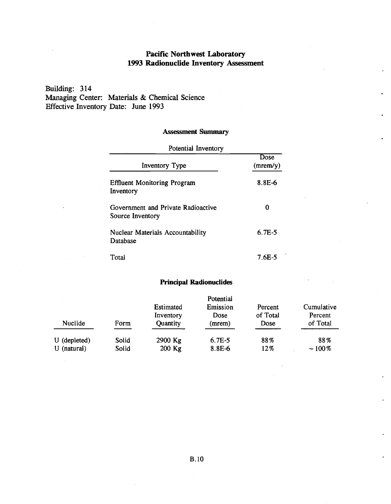## Building: **3 14**  Managing Center: Materials & Chemical Science Effective Inventory Date: June **1993**

#### **Assessment Summary**

| Potential Inventory                                    |                         |  |  |  |
|--------------------------------------------------------|-------------------------|--|--|--|
| Inventory Type                                         | <b>Dose</b><br>(mrem/y) |  |  |  |
| <b>Effluent Monitoring Program</b><br>Inventory        | 8.8E-6                  |  |  |  |
| Government and Private Radioactive<br>Source Inventory | O                       |  |  |  |
| Nuclear Materials Accountability<br>Database           | $6.7E-5$                |  |  |  |
| Total                                                  | 7.6E-5                  |  |  |  |

| Nuclide       | Form  | <b>Estimated</b><br>Inventory<br>Quantity | Potential<br>Emission<br>Dose<br>(mrem) | Percent<br>of Total<br>Dose | Cumulative<br>Percent<br>of Total |
|---------------|-------|-------------------------------------------|-----------------------------------------|-----------------------------|-----------------------------------|
| U (depleted)  | Solid | 2900 Kg                                   | $6.7E-5$                                | 88%                         | 88%                               |
| $U$ (natural) | Solid | 200 Kg                                    | 8.8E-6                                  | 12%                         | $\sim 100\%$                      |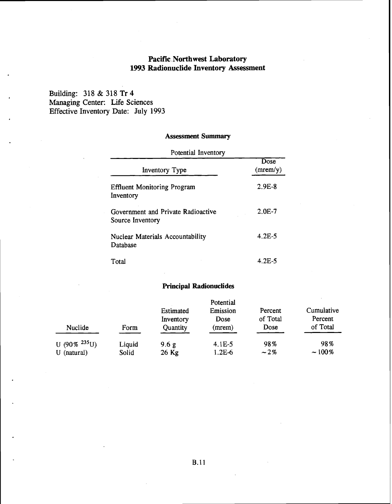Building: 318 & 318 Tr 4 Managing Center: Life Sciences Effective Inventory Date: July 1993

#### **Assessment Summary**

| Potential Inventory                                    |                  |  |  |  |
|--------------------------------------------------------|------------------|--|--|--|
| Inventory Type                                         | Dose<br>(mrem/y) |  |  |  |
| <b>Effluent Monitoring Program</b><br>Inventory        | $2.9E-8$         |  |  |  |
| Government and Private Radioactive<br>Source Inventory | $2.0E-7$         |  |  |  |
| <b>Nuclear Materials Accountability</b><br>Database    | $4.2F-5$         |  |  |  |
| Total                                                  | 4 2E-5           |  |  |  |

| Nuclide            | Form   | Estimated<br>Inventory<br>Quantity | Potential<br>Emission<br>Dose<br>(mrem) | Percent<br>of Total<br>Dose | Cumulative<br>Percent<br>of Total |
|--------------------|--------|------------------------------------|-----------------------------------------|-----------------------------|-----------------------------------|
| U (90% $^{235}$ U) | Liquid | 9.6 g                              | $4.1E-5$                                | 98%                         | 98%                               |
| $U$ (natural)      | Solid  | 26 Kg                              | $1.2E-6$                                | $-2\%$                      | $-100\%$                          |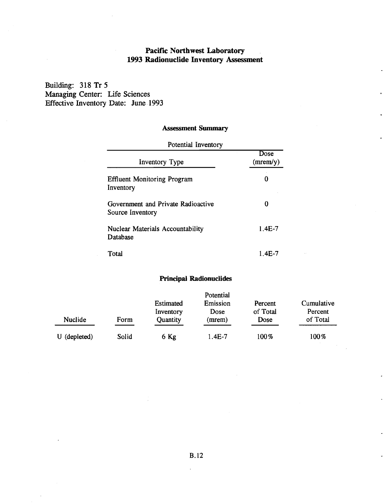Building: 3 18 Tr 5 Managing Center: Life Sciences Effective Inventory Date: June 1993

#### **Assessment Summary**

| Potential Inventory                                    |                  |  |  |
|--------------------------------------------------------|------------------|--|--|
| <b>Inventory Type</b>                                  | Dose<br>(mrem/y) |  |  |
| <b>Effluent Monitoring Program</b><br>Inventory        |                  |  |  |
| Government and Private Radioactive<br>Source Inventory | 0                |  |  |
| Nuclear Materials Accountability<br>Database           | $1.4E-7$         |  |  |
| Total                                                  | 1.4E-7           |  |  |

| Nuclide<br>Form |       | <b>Estimated</b><br>Inventory<br>Quantity | Potential<br>Emission<br>Dose<br>(mrem) | Percent<br>of Total<br>Dose | Cumulative<br>Percent<br>of Total |
|-----------------|-------|-------------------------------------------|-----------------------------------------|-----------------------------|-----------------------------------|
| (depleted)<br>U | Solid | $6$ Kg                                    | $1.4E - 7$                              | $100\%$                     | 100%                              |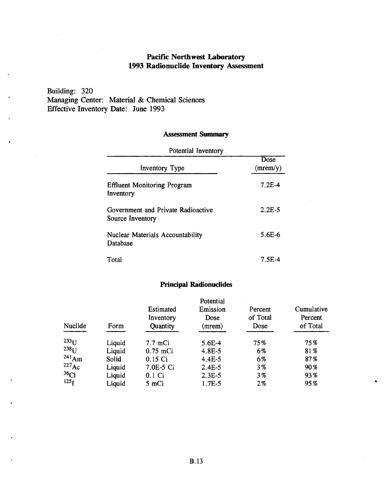Building: 320 Managing Center: Material & Chemical Sciences Effective Inventory Date: June 1993

# **Assessment Summary**

| Potential Inventory                                    |                  |  |  |
|--------------------------------------------------------|------------------|--|--|
| Inventory Type                                         | Dose<br>(mrem/v) |  |  |
| <b>Effluent Monitoring Program</b><br>Inventory        | $7.2E-4$         |  |  |
| Government and Private Radioactive<br>Source Inventory | $2.2E-5$         |  |  |
| <b>Nuclear Materials Accountability</b><br>Database    | 5.6E-6           |  |  |
| Total                                                  | 7.5E-4           |  |  |

| Nuclide           | Form   | <b>Estimated</b><br>Inventory<br>Quantity | Potential<br>Emission<br>Dose<br>(mrem) | Percent<br>of Total<br>Dose | Cumulative<br>Percent<br>of Total |
|-------------------|--------|-------------------------------------------|-----------------------------------------|-----------------------------|-----------------------------------|
| $233$ U           | Liquid | $7.7 \text{ mCi}$                         | $5.6E-4$                                | 75%                         | 75%                               |
| $238$ U           | Liquid | $0.75$ mCi                                | 4.8E-5                                  | 6%                          | 81%                               |
| $241$ Am          | Solid  | $0.15$ Ci                                 | 4.4E-5                                  | 6%                          | 87%                               |
| 227 <sub>Ac</sub> | Liquid | 7.0E-5 Ci                                 | $2.4E-5$                                | $3\%$                       | 90%                               |
| 36 <sub>Cl</sub>  | Liquid | 0.1 Ci                                    | $2.3E-5$                                | 3%                          | 93%                               |
| 125 <sub>I</sub>  | Liquid | 5 mCi                                     | $1.7E-5$                                | 2%                          | 95%                               |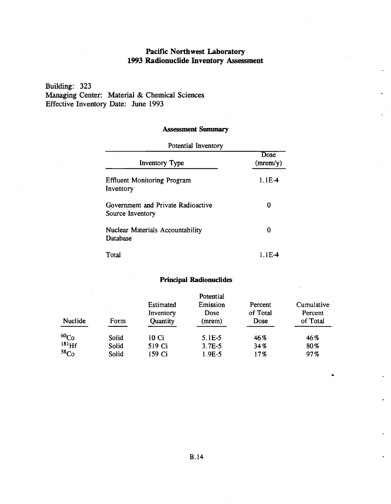Building: 323 Managing Center: Material & Chemical Sciences Effective Inventory Date: June 1993

#### **Assessment Summary**

| Potential Inventory                                    |                  |
|--------------------------------------------------------|------------------|
| Inventory Type                                         | Dose<br>(mrem/v) |
| <b>Effluent Monitoring Program</b><br>Inventory        | $1.1E-4$         |
| Government and Private Radioactive<br>Source Inventory | Ω                |
| <b>Nuclear Materials Accountability</b><br>Database    |                  |
| Total                                                  | 1. I E-4         |

|                   |       | Estimated<br>Inventory | Emission<br>Dose | Percent<br>of Total | Cumulative<br>Percent |
|-------------------|-------|------------------------|------------------|---------------------|-----------------------|
| Nuclide           | Form  | Quantity               | (mrem)           | Dose                | of Total              |
| 60 <sub>Co</sub>  | Solid | 10 Ci                  | $5.1E-5$         | 46%                 | 46%                   |
| 181 <sub>HF</sub> | Solid | 519 Ci                 | $3.7E-5$         | 34%                 | 80%                   |
| 58 <sub>Co</sub>  | Solid | 159 Ci                 | 1.9E-5           | 17%                 | 97%                   |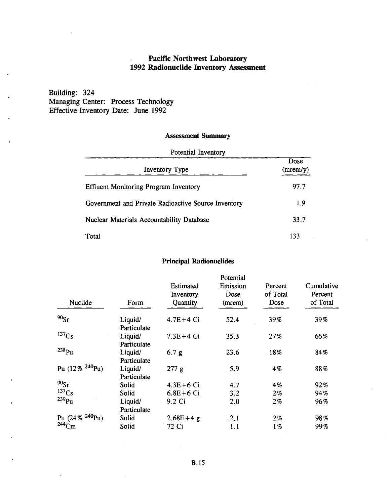Building: **324**  Managing Center: Process Technology Effective Inventory Date: June **1992** 

## **Assessment Summary**

| Potential Inventory                                 |                         |
|-----------------------------------------------------|-------------------------|
| Inventory Type                                      | <b>Dose</b><br>(mrem/y) |
| Effluent Monitoring Program Inventory               | 97.7                    |
| Government and Private Radioactive Source Inventory | 1.9                     |
| Nuclear Materials Accountability Database           | 33.7                    |
| Total                                               | 133                     |

|                             |                        |                                    | Potential                  |                             |                                   |
|-----------------------------|------------------------|------------------------------------|----------------------------|-----------------------------|-----------------------------------|
| Nuclide                     | Form                   | Estimated<br>Inventory<br>Quantity | Emission<br>Dose<br>(mrem) | Percent<br>of Total<br>Dose | Cumulative<br>Percent<br>of Total |
|                             |                        |                                    |                            |                             |                                   |
| $90$ Sr                     | Liquid/<br>Particulate | $4.7E + 4 Ci$                      | 52.4                       | 39%                         | 39%                               |
| 137C <sub>S</sub>           | Liquid/<br>Particulate | $7.3E + 4 Ci$                      | 35.3                       | 27%                         | 66%                               |
| 238 <sub>Pu</sub>           | Liquid/<br>Particulate | 6.7 <sub>g</sub>                   | 23.6                       | 18%                         | 84%                               |
| Pu $(12\%~^{240}Pu)$        | Liquid/<br>Particulate | 277 g                              | 5.9                        | $4\%$                       | 88%                               |
| $90$ Sr                     | Solid                  | $4.3E + 6 Ci$                      | 4.7                        | 4%                          | 92%                               |
| $137$ Cs                    | Solid                  | $6.8E + 6 Ci$                      | 3.2                        | $2\%$                       | 94%                               |
| 239 <sub>Pu</sub>           | Liquid/<br>Particulate | 9.2 Ci                             | 2.0                        | $2\%$                       | 96%                               |
| Pu $(24\%~^{240}\text{Pu})$ | Solid                  | $2.68E + 4g$                       | 2.1                        | $2\%$                       | 98%                               |
| $244$ Cm                    | Solid                  | 72 Ci                              | 1.1                        | $1\%$                       | 99%                               |
|                             |                        |                                    |                            |                             |                                   |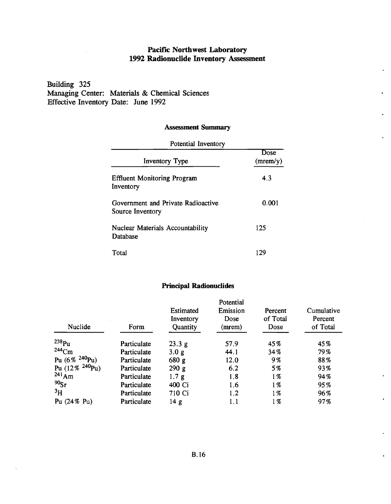Building 325 Managing Center: Materials & Chemical Sciences Effective Inventory Date: June 1992

#### **Assessment Summary**

| Potential Inventory                                    |                         |  |  |
|--------------------------------------------------------|-------------------------|--|--|
| Inventory Type                                         | <b>Dose</b><br>(mrem/y) |  |  |
| <b>Effluent Monitoring Program</b><br>Inventory        | 4.3                     |  |  |
| Government and Private Radioactive<br>Source Inventory | 0.001                   |  |  |
| <b>Nuclear Materials Accountability</b><br>Database    | 125                     |  |  |
| Total                                                  | 24                      |  |  |

## **Principal Radionuclides**

| Nuclide                  | Form        | Estimated<br>Inventory<br>Quantity | Potential<br>Emission<br>Dose<br>(mrem) | Percent<br>of Total<br>Dose | Cumulative<br>Percent<br>of Total |
|--------------------------|-------------|------------------------------------|-----------------------------------------|-----------------------------|-----------------------------------|
| 238 <sub>Pu</sub>        | Particulate | 23.3 g                             | 57.9                                    | 45%                         | 45%                               |
| $244$ Cm                 | Particulate | 3.0 g                              | 44.1                                    | 34%                         | 79%                               |
| $-240p_{u}$<br>Pu $(6\%$ | Particulate | 680 g                              | 12.0                                    | 9%                          | 88%                               |
| Pu $(12\%~^{240}Pu)$     | Particulate | 290 g                              | 6.2                                     | 5%                          | 93%                               |
| $241\text{\AA}$ m        | Particulate | 1.7 g                              | 1.8                                     | $1\%$                       | 94%                               |
| 90 <sub>ST</sub>         | Particulate | 400 Ci                             | 1.6                                     | $1\%$                       | 95%                               |
| $^{3}H$                  | Particulate | 710 Ci                             | 1.2                                     | $1\%$                       | $96\%$                            |
| Pu $(24\% \text{ Pu})$   | Particulate | 14 <sub>g</sub>                    | 1.1                                     | 1%                          | 97%                               |

 $\ddot{\phantom{a}}$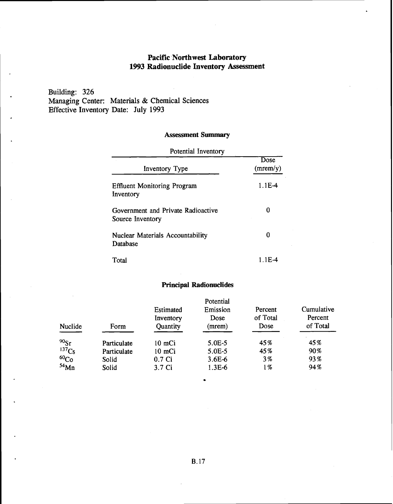**Building: 326 Managing Center: Materials** & **Chemical Sciences Effective Inventory Date: July 1993** 

## **Assessment Summary**

| Potential Inventory                                    |                  |
|--------------------------------------------------------|------------------|
| Inventory Type                                         | Dose<br>(mrem/y) |
| <b>Effluent Monitoring Program</b><br>Inventory        | $1.1E-4$         |
| Government and Private Radioactive<br>Source Inventory | O                |
| Nuclear Materials Accountability<br>Database           | 0                |
| Total                                                  | 1.1E-4           |

|                  |             |           | Potential |          |            |
|------------------|-------------|-----------|-----------|----------|------------|
|                  |             | Estimated | Emission  | Percent  | Cumulative |
|                  |             | Inventory | Dose      | of Total | Percent    |
| Nuclide          | Form        | Quantity  | (mrem)    | Dose     | of Total   |
| $90$ Sr          | Particulate | 10 mCi    | $5.0E-5$  | 45%      | 45%        |
| $137C_s$         | Particulate | 10 mCi    | $5.0E-5$  | 45%      | 90%        |
| 60 <sub>Co</sub> | Solid       | 0.7 Ci    | $3.6E-6$  | 3%       | 93%        |
| $54$ Mn          | Solid       | 3.7 Ci    | $1.3E-6$  | 1%       | 94%        |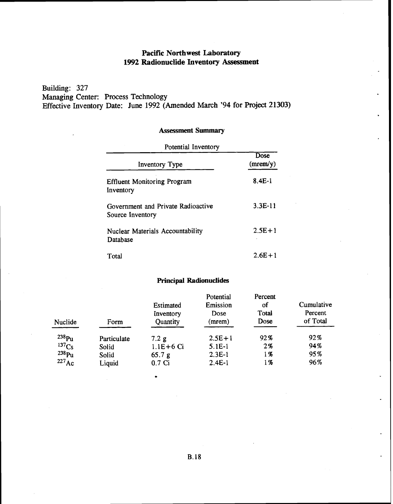Building: **327**  Managing Center: Process Technology Effective Inventory Date: June **1992** (Amended March **'94** for Project **21303)** 

#### **Assessment Summary**

| Potential Inventory                                    |                  |
|--------------------------------------------------------|------------------|
| Inventory Type                                         | Dose<br>(mrem/y) |
| <b>Effluent Monitoring Program</b><br>Inventory        | $8.4E-1$         |
| Government and Private Radioactive<br>Source Inventory | $3.3E-11$        |
| <b>Nuclear Materials Accountability</b><br>Database    | $2.5E + 1$       |
| Total                                                  | $2.6E+1$         |

| Nuclide           | Form        | Estimated<br>Inventory<br>Quantity | Potential<br>Emission<br>Dose<br>(mrem) | Percent<br>οf<br>Total<br>Dose | Cumulative<br>Percent<br>of Total |
|-------------------|-------------|------------------------------------|-----------------------------------------|--------------------------------|-----------------------------------|
| $238p_{11}$       | Particulate | 7.2 g                              | $2.5E + 1$                              | 92%                            | $92\%$                            |
| 137 <sub>Cs</sub> | Solid       | $1.1E + 6$ Ci                      | $5.1E-1$                                | $2\%$                          | 94%                               |
| 238p <sub>u</sub> | Solid       | 65.7 g                             | $2.3E-1$                                | 1%                             | 95%                               |
| 227 <sub>Ac</sub> | Liquid      | 0.7 <sub>ci</sub>                  | $2.4E-1$                                | 1%                             | 96%                               |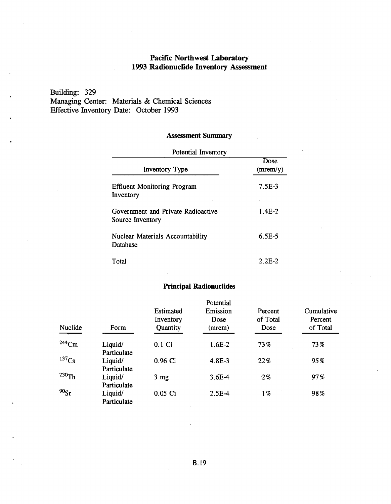Building: 329

Managing Center: Materials & Chemical Sciences Effective Inventory Date: October 1993

## **Assessment Summary**

| Potential Inventory                                    |                  |
|--------------------------------------------------------|------------------|
| Inventory Type                                         | Dose<br>(mrem/y) |
| <b>Effluent Monitoring Program</b><br>Inventory        | $7.5E-3$         |
| Government and Private Radioactive<br>Source Inventory | $1.4E-2$         |
| <b>Nuclear Materials Accountability</b><br>Database    | $6.5E-5$         |
| Total                                                  | 2.2E-2           |

| Nuclide           | Form                   | <b>Estimated</b><br>Inventory<br>Quantity | Potential<br>Emission<br>Dose<br>(mrem) | Percent<br>of Total<br>Dose | Cumulative<br>Percent<br>of Total |
|-------------------|------------------------|-------------------------------------------|-----------------------------------------|-----------------------------|-----------------------------------|
| $244$ Cm          | Liquid/<br>Particulate | 0.1 <sub>ci</sub>                         | $1.6E-2$                                | 73%                         | 73%                               |
| 137C <sub>S</sub> | Liquid/<br>Particulate | 0.96 Ci                                   | $4.8E-3$                                | 22%                         | 95%                               |
| $230$ Th          | Liquid/<br>Particulate | $3 \text{ mg}$                            | $3.6E-4$                                | $2\%$                       | 97%                               |
| $90$ Sr           | Liquid/<br>Particulate | 0.05 <sub>ci</sub>                        | $2.5E-4$                                | $1\%$                       | 98%                               |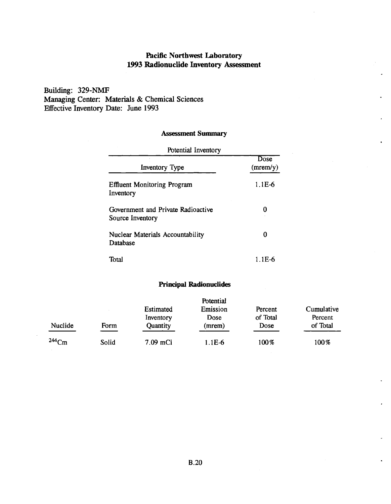Building: 329-NMF Managing Center: Materials & Chemical Sciences Effective Inventory Date: June 1993

#### **Assessment Summary**

| Potential Inventory                                    |                         |
|--------------------------------------------------------|-------------------------|
| <b>Inventory Type</b>                                  | <b>Dose</b><br>(mrem/y) |
| <b>Effluent Monitoring Program</b><br>Inventory        | $1.1E-6$                |
| Government and Private Radioactive<br>Source Inventory |                         |
| Nuclear Materials Accountability<br>Database           | O                       |
| Total                                                  | 1.1E-6                  |

|          |       |                  | Potential |          | Cumulative |
|----------|-------|------------------|-----------|----------|------------|
|          |       | <b>Estimated</b> | Emission  | Percent  |            |
|          |       | Inventory        | Dose      | of Total | Percent    |
| Nuclide  | Form  | Quantity         | (mrem)    | Dose     | of Total   |
| $244$ Cm | Solid | 7.09 mCi         | 1.1E-6    | 100%     | 100%       |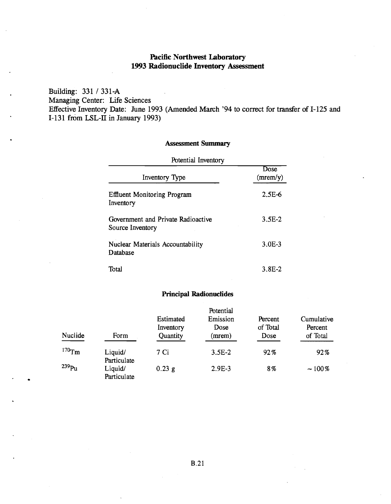Building: 33 1 / 33 1 **-A** 

Managing Center: Life Sciences

Effective Inventory Date: June 1993 (Amended March '94 to correct for transfer of 1-125 and 1-13 1 from **LSL-I1 in** January 1993)

#### **Assessment Summary**

| Potential Inventory                                    |                  |
|--------------------------------------------------------|------------------|
| Inventory Type                                         | Dose<br>(mrem/v) |
| <b>Effluent Monitoring Program</b><br>Inventory        | $2.5E-6$         |
| Government and Private Radioactive<br>Source Inventory | $3.5E-2$         |
| Nuclear Materials Accountability<br>Database           | $3.0E-3$         |
| Total                                                  | 3.8E-2           |

|                   | Potential              |                        |                  |                     |                       |
|-------------------|------------------------|------------------------|------------------|---------------------|-----------------------|
|                   |                        | Estimated<br>Inventory | Emission<br>Dose | Percent<br>of Total | Cumulative<br>Percent |
| Nuclide           | Form                   | Quantity               | (mrem)           | Dose                | of Total              |
| $170$ Tm          | Liquid/<br>Particulate | 7 Ci                   | $3.5E-2$         | 92%                 | 92%                   |
| 239 <sub>Pu</sub> | Liquid/<br>Particulate | $0.23$ g               | $2.9E-3$         | 8%                  | $-100\%$              |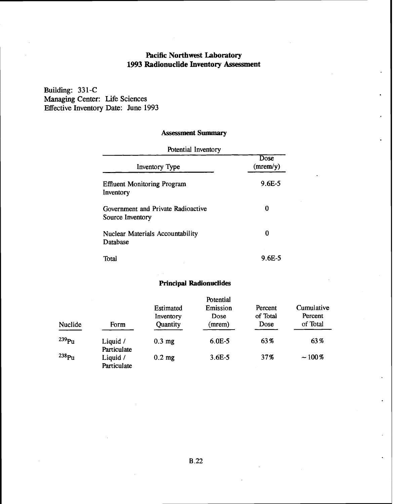**Building: 33 1-C Managing Center: Life Sciences Effective Inventory Date: June 1993** 

## **Assessment Summary**

| Potential Inventory                                    |                  |
|--------------------------------------------------------|------------------|
| Inventory Type                                         | Dose<br>(mrem/y) |
| <b>Effluent Monitoring Program</b><br>Inventory        | $9.6E - 5$       |
| Government and Private Radioactive<br>Source Inventory | 0                |
| <b>Nuclear Materials Accountability</b><br>Database    | 0                |
| Total                                                  | 9.6E-5           |

|                   | Potential               |                        |                  |                     |                       |
|-------------------|-------------------------|------------------------|------------------|---------------------|-----------------------|
|                   |                         | Estimated<br>Inventory | Emission<br>Dose | Percent<br>of Total | Cumulative<br>Percent |
| Nuclide           | Form                    | Quantity               | (mrem)           | Dose                | of Total              |
| 239 <sub>Pu</sub> | Liquid /<br>Particulate | $0.3$ mg               | $6.0E-5$         | 63%                 | 63%                   |
| $238p_{11}$       | Liquid /<br>Particulate | $0.2$ mg               | $3.6E - 5$       | 37%                 | $-100\%$              |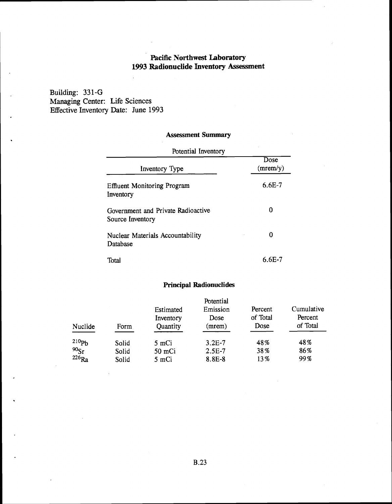Building: 331-G Managing Center: Life Sciences Effective Inventory Date: June 1993

# **Assessment Summary**

| Potential Inventory                                    |                         |  |  |
|--------------------------------------------------------|-------------------------|--|--|
| Inventory Type                                         | <b>Dose</b><br>(mrem/y) |  |  |
| <b>Effluent Monitoring Program</b><br>Inventory        | $6.6E-7$                |  |  |
| Government and Private Radioactive<br>Source Inventory | 0                       |  |  |
| <b>Nuclear Materials Accountability</b><br>Database    | O                       |  |  |
| Total                                                  | 6.6E-7                  |  |  |

| Nuclide    | Form  | Estimated<br>Inventory<br>Quantity | Potential<br>Emission<br>Dose<br>(mrem) | Percent<br>of Total<br>Dose | Cumulative<br>Percent<br>of Total |
|------------|-------|------------------------------------|-----------------------------------------|-----------------------------|-----------------------------------|
| $^{210}Pb$ | Solid | 5 mCi                              | $3.2E - 7$                              | 48%                         | 48%                               |
| $90$ Sr    | Solid | 50 mCi                             | $2.5E-7$                                | 38%                         | 86%                               |
| $226$ Ra   | Solid | 5 mCi                              | $8.8E-8$                                | $13\%$                      | 99%                               |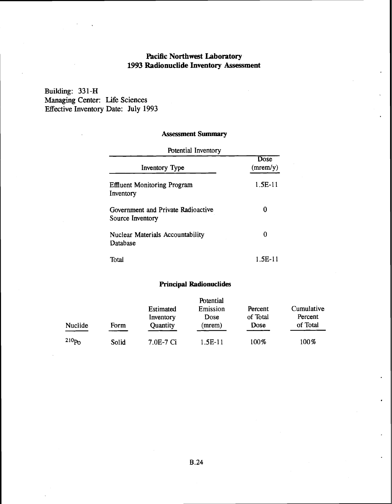**Building: 33 1 -H Managing** Center: Life Sciences **Effective Inventory** Date: **July 1993** 

## **Assessment Summary**

| Potential Inventory                                    |                  |  |  |
|--------------------------------------------------------|------------------|--|--|
| Inventory Type                                         | Dose<br>(mrem/y) |  |  |
| <b>Effluent Monitoring Program</b><br>Inventory        | $1.5E-11$        |  |  |
| Government and Private Radioactive<br>Source Inventory | 0                |  |  |
| Nuclear Materials Accountability<br>Database           | O                |  |  |
| Total                                                  | 1.5E-11          |  |  |

|            |       |                       | Potential        |                     | Cumulative<br>Percent |
|------------|-------|-----------------------|------------------|---------------------|-----------------------|
|            |       | Estimated             | Emission<br>Dose | Percent<br>of Total |                       |
| Nuclide    | Form  | Inventory<br>Quantity | (mrem)           | Dose                | of Total              |
| $^{210}P0$ | Solid | 7.0E-7 Ci             | $1.5E-11$        | 100%                | 100%                  |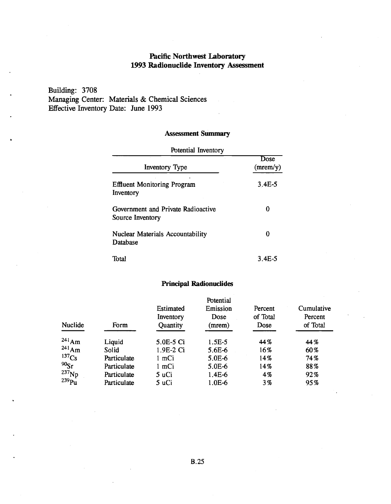Building: 3708 Managing Center: Materials & Chemical Sciences Effective Inventory Date: June 1993

## **Assessment Summary** .

| Materials & Chemical Sciences<br>Date: June 1993       |                  |  |  |  |  |
|--------------------------------------------------------|------------------|--|--|--|--|
| <b>Assessment Summary</b>                              |                  |  |  |  |  |
| Potential Inventory                                    |                  |  |  |  |  |
| Inventory Type                                         | Dose<br>(mrem/y) |  |  |  |  |
| <b>Effluent Monitoring Program</b><br>Inventory        | $3.4E - 5$       |  |  |  |  |
| Government and Private Radioactive<br>Source Inventory | 0                |  |  |  |  |
| Nuclear Materials Accountability<br>Database           | 0                |  |  |  |  |
| Total                                                  | $3.4E - 5$       |  |  |  |  |

| Nuclide                                | Form        | Estimated<br>Inventory<br>Quantity | Potential<br>Emission<br>Dose<br>(mrem) | Percent<br>of Total<br>Dose | Cumulative<br>Percent<br>of Total |
|----------------------------------------|-------------|------------------------------------|-----------------------------------------|-----------------------------|-----------------------------------|
| $^{241}$ Am                            | Liquid      | 5.0E-5 Ci                          | $1.5E-5$                                | 44%                         | 44%                               |
| $^{241}$ Am                            | Solid       | 1.9E-2 Ci                          | $5.6E-6$                                | $16\%$                      | 60%                               |
| 137 <sub>Cs</sub>                      | Particulate | 1 mCi                              | $5.0E-6$                                | 14%                         | 74%                               |
| 90 <sub>ST</sub>                       | Particulate | 1 mCi                              | $5.0E-6$                                | 14%                         | 88%                               |
| <sup>237</sup> Np<br><sup>239</sup> Pu | Particulate | 5 uCi                              | $1.4E - 6$                              | 4%                          | 92%                               |
|                                        | Particulate | 5 uCi                              | $1.0E-6$                                | $3\%$                       | 95%                               |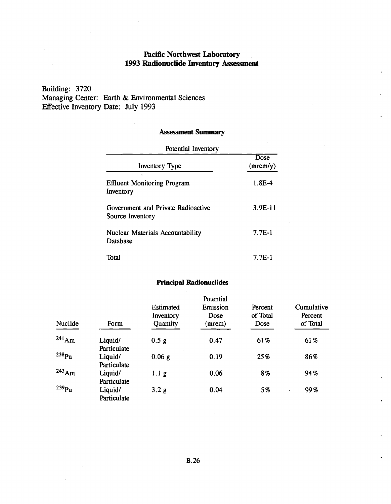# Building: 3720 Managing Center: Earth & Environmental Sciences Effective Inventory Date: July 1993

## **Assessment Summary**

| Potential Inventory                                    |                  |  |  |  |
|--------------------------------------------------------|------------------|--|--|--|
| Inventory Type                                         | Dose<br>(mrem/y) |  |  |  |
| <b>Effluent Monitoring Program</b><br>Inventory        | $1.8E - 4$       |  |  |  |
| Government and Private Radioactive<br>Source Inventory | $3.9E-11$        |  |  |  |
| <b>Nuclear Materials Accountability</b><br>Database    | $7.7E-1$         |  |  |  |
| Total                                                  | 7.7E-1           |  |  |  |

| Nuclide           | Form                   | Estimated<br>Inventory<br>Quantity | Potential<br>Emission<br><b>Dose</b><br>(mrem) | Percent<br>of Total<br>Dose | Cumulative<br>Percent<br>of Total |
|-------------------|------------------------|------------------------------------|------------------------------------------------|-----------------------------|-----------------------------------|
| $^{241}Am$        | Liquid/                | 0.5 g                              | 0.47                                           | 61%                         | 61%                               |
| 238p <sub>u</sub> | Particulate<br>Liquid/ | 0.06g                              | 0.19                                           | 25%                         | 86%                               |
| $243$ Am          | Particulate<br>Liquid/ | 1.1 <sub>g</sub>                   | 0.06                                           | 8%                          | 94%                               |
| 239 <sub>Pu</sub> | Particulate<br>Liquid/ | 3.2 <sub>g</sub>                   | 0.04                                           | 5%                          | 99%                               |
|                   | Particulate            |                                    |                                                |                             |                                   |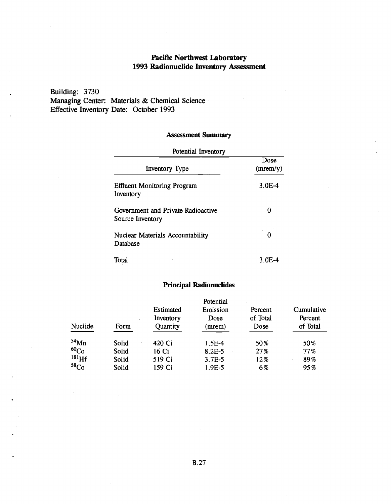Building: 3730 Managing Center: Materials & Chemical Science Effective Inventory Date: October 1993

#### **Assessment Summary**

| Potential Inventory                                    |                  |  |  |  |
|--------------------------------------------------------|------------------|--|--|--|
| <b>Inventory Type</b>                                  | Dose<br>(mrem/v) |  |  |  |
| <b>Effluent Monitoring Program</b><br>Inventory        | $3.0E - 4$       |  |  |  |
| Government and Private Radioactive<br>Source Inventory | O                |  |  |  |
| Nuclear Materials Accountability<br>Database           |                  |  |  |  |
| Total                                                  | 3.OE-4           |  |  |  |

|                   | Potential |           |          |          |            |
|-------------------|-----------|-----------|----------|----------|------------|
|                   |           | Estimated | Emission | Percent  | Cumulative |
|                   |           | Inventory | Dose     | of Total | Percent    |
| Nuclide           | Form      | Quantity  | (mrem)   | Dose     | of Total   |
| $54$ Mn           | Solid     | 420 Ci    | $1.5E-4$ | 50%      | 50%        |
| 60 <sub>Co</sub>  | Solid     | 16 Ci     | 8.2E-5   | 27%      | 77%        |
| 181 <sub>HF</sub> | Solid     | 519 Ci    | $3.7E-5$ | 12%      | 89%        |
| 58 <sub>Co</sub>  | Solid     | 159 Ci    | 1.9E-5   | 6%       | 95%        |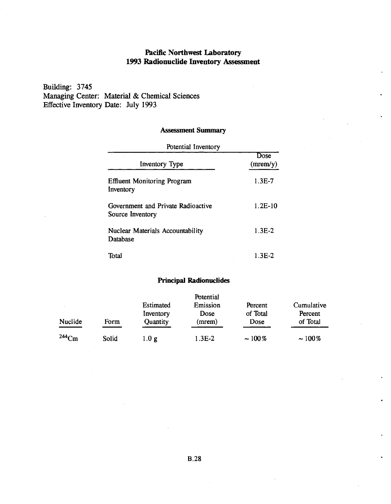Building: 3745 Managing Center: Material & Chemical Sciences Effective Inventory Date: July 1993

#### **Assessment Summary**

| Potential Inventory                                    |                  |  |  |  |
|--------------------------------------------------------|------------------|--|--|--|
| <b>Inventory Type</b>                                  | Dose<br>(mrem/y) |  |  |  |
| <b>Effluent Monitoring Program</b><br>Inventory        | $1.3E-7$         |  |  |  |
| Government and Private Radioactive<br>Source Inventory | $1.2E-10$        |  |  |  |
| <b>Nuclear Materials Accountability</b><br>Database    | $1.3E-2$         |  |  |  |
| Total                                                  | 1.3E-2           |  |  |  |

|          |       | Estimated             | Potential<br>Emission | Percent          | Cumulative          |
|----------|-------|-----------------------|-----------------------|------------------|---------------------|
| Nuclide  | Form  | Inventory<br>Quantity | Dose<br>(mrem)        | of Total<br>Dose | Percent<br>of Total |
| $244$ Cm | Solid | 1.0g                  | $1.3E-2$              | $-100\%$         | $\sim 100\%$        |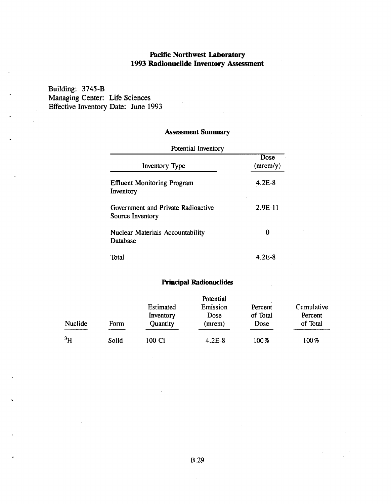Building: 3745-B Managing Center: Life Sciences Effective Inventory Date: June 1993

## **Assessment Summary**

| Potential Inventory                                    |                         |  |  |
|--------------------------------------------------------|-------------------------|--|--|
| Inventory Type                                         | <b>Dose</b><br>(mrem/y) |  |  |
| <b>Effluent Monitoring Program</b><br>Inventory        | $4.2E-8$                |  |  |
| Government and Private Radioactive<br>Source Inventory | $2.9E-11$               |  |  |
| <b>Nuclear Materials Accountability</b><br>Database    | 0                       |  |  |
| Total                                                  | 4 2ь-х                  |  |  |

|           |       |           | Potential  |          |                       |  |
|-----------|-------|-----------|------------|----------|-----------------------|--|
|           |       | Estimated | Emission   | Percent  | Cumulative<br>Percent |  |
|           |       | Inventory | Dose       | of Total |                       |  |
| Nuclide   | Form  | Quantity  | (mrem)     | Dose     | of Total              |  |
|           |       |           |            |          |                       |  |
| $\rm ^3H$ | Solid | 100 Ci    | $4.2E - 8$ | 100%     | 100%                  |  |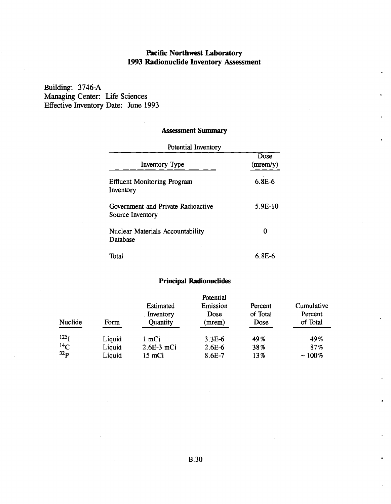Building: 3746-A Managing Center: Life Sciences Effective Inventory Date: June 1993

#### **Assessment Summary**

| Potential Inventory                                    |                  |
|--------------------------------------------------------|------------------|
| Inventory Type                                         | Dose<br>(mrem/y) |
| <b>Effluent Monitoring Program</b><br>Inventory        | $6.8E - 6$       |
| Government and Private Radioactive<br>Source Inventory | 5.9E-10          |
| Nuclear Materials Accountability<br>Database           | 0                |
| Total                                                  | 6.8E-6           |

|                                     |                  | <b>Estimated</b><br>Inventory | Potential<br>Emission<br>Dose | Percent<br>of Total | Cumulative<br>Percent |
|-------------------------------------|------------------|-------------------------------|-------------------------------|---------------------|-----------------------|
| Nuclide                             | Form             | Quantity                      | (mrem)                        | Dose                | of Total              |
| 125 <sub>T</sub><br>14 <sub>C</sub> | Liquid           | 1 mCi                         | $3.3E-6$                      | 49%                 | 49%                   |
| 32 <sub>p</sub>                     | Liquid<br>Liquid | $2.6E-3$ mCi<br>15 mCi        | $2.6E-6$<br>8.6E-7            | 38%<br>13%          | 87%<br>$-100\%$       |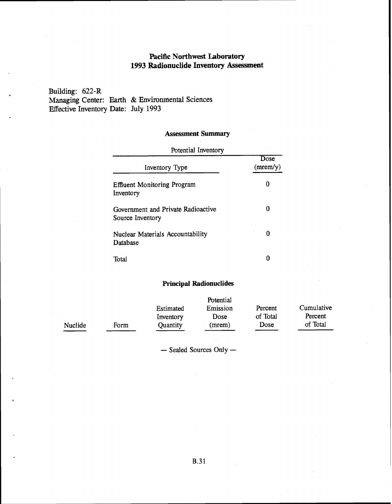Building: 622-R Managing Center: Earth & Environmental Sciences Effective Inventory Date: July 1993

#### **Assessment Summary**

| Potential Inventory                                    |                  |
|--------------------------------------------------------|------------------|
| Inventory Type                                         | Dose<br>(mrem/y) |
| <b>Effluent Monitoring Program</b><br>Inventory        | O                |
| Government and Private Radioactive<br>Source Inventory | O                |
| Nuclear Materials Accountability<br>Database           | U                |
| Total                                                  |                  |

# **Principal Radionuclides**

|         |      |           | Potential |          |            |
|---------|------|-----------|-----------|----------|------------|
|         |      | Estimated | Emission  | Percent  | Cumulative |
|         |      | Inventory | Dose      | of Total | Percent    |
| Nuclide | Form | Quantity  | (mrem)    | Dose     | of Total   |
|         |      |           |           |          |            |

- Sealed Sources Only -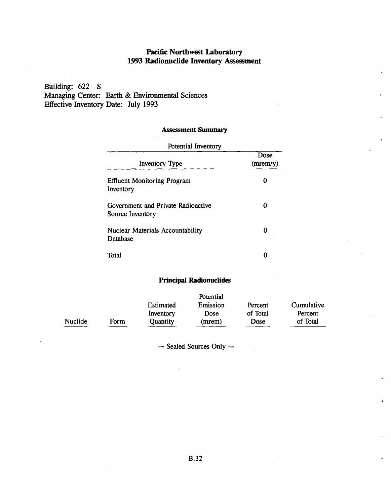Building: 622 - S Managing Center: Earth & Environmental Sciences Effective Inventory Date: July 1993

#### **Assessment Summary**

| Potential Inventory                                    |                         |
|--------------------------------------------------------|-------------------------|
| Inventory Type                                         | <b>Dose</b><br>(mrem/y) |
| <b>Effluent Monitoring Program</b><br>Inventory        | Օ                       |
| Government and Private Radioactive<br>Source Inventory | ո                       |
| <b>Nuclear Materials Accountability</b><br>Database    |                         |
| Total                                                  |                         |

#### **Principal Radionuclides**

|         |      | Potential |          |          |            |
|---------|------|-----------|----------|----------|------------|
|         |      | Estimated | Emission | Percent  | Cumulative |
|         |      | Inventory | Dose     | of Total | Percent    |
| Nuclide | Form | Quantity  | (mrem)   | Dose     | of Total   |

- Sealed Sources Only -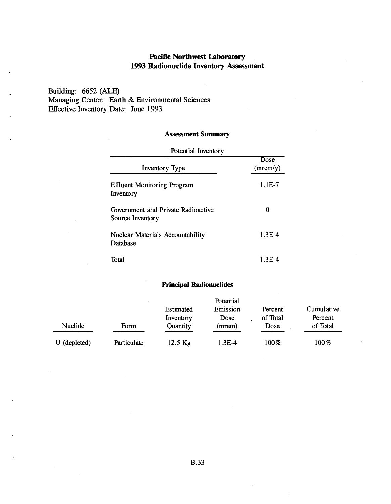Building: 6652 (ALE) Managing Center: Earth & Environmental Sciences Effective Inventory Date: June 1993

# **Assessment Summary**

| Potential Inventory                                    |                  |
|--------------------------------------------------------|------------------|
| <b>Inventory Type</b>                                  | Dose<br>(mrem/y) |
| <b>Effluent Monitoring Program</b><br>Inventory        | $1.1E-7$         |
| Government and Private Radioactive<br>Source Inventory | 0                |
| Nuclear Materials Accountability<br>Database           | $1.3E - 4$       |
| Total                                                  | $1.3E-4$         |

|              | Potential   |                                    |                            |                             |                                   |  |
|--------------|-------------|------------------------------------|----------------------------|-----------------------------|-----------------------------------|--|
| Nuclide      | Form        | Estimated<br>Inventory<br>Quantity | Emission<br>Dose<br>(mrem) | Percent<br>of Total<br>Dose | Cumulative<br>Percent<br>of Total |  |
| U (depleted) | Particulate | 12.5 Kg                            | $1.3E - 4$                 | 100%                        | 100%                              |  |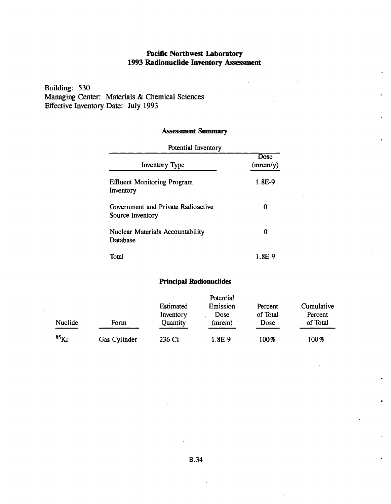Building: 530 Managing Center: Materials & Chemical Sciences Effective Inventory Date: July 1993

## **Assessment Summary**

| Potential Inventory                                    |                  |
|--------------------------------------------------------|------------------|
| Inventory Type                                         | Dose<br>(mrem/y) |
| <b>Effluent Monitoring Program</b><br>Inventory        | 1.8E-9           |
| Government and Private Radioactive<br>Source Inventory | 0                |
| Nuclear Materials Accountability<br>Database           |                  |
| Total                                                  | 1.8E-9           |

| Nuclide    | Form         | <b>Estimated</b><br>Inventory<br>Quantity | Potential<br>Emission<br>Dose<br>(mrem) | Percent<br>of Total<br>Dose | Cumulative<br>Percent<br>of Total |
|------------|--------------|-------------------------------------------|-----------------------------------------|-----------------------------|-----------------------------------|
| $^{85}$ Kr | Gas Cylinder | 236 Ci                                    | 1.8E-9                                  | 100%                        | 100%                              |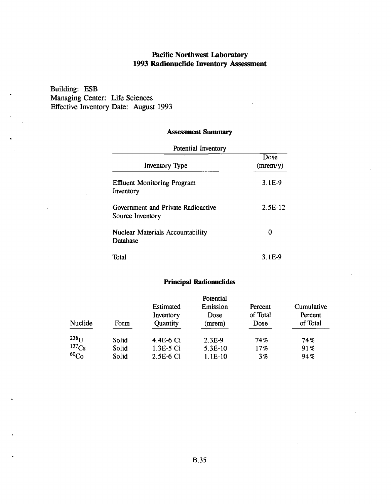Building: ESB Managing Center: Life Sciences Effective Inventory Date: August 1993

## **Assessment Summary**

| Potential Inventory                                    |                         |
|--------------------------------------------------------|-------------------------|
| Inventory Type                                         | <b>Dose</b><br>(mrem/y) |
| <b>Effluent Monitoring Program</b><br>Inventory        | $3.1E-9$                |
| Government and Private Radioactive<br>Source Inventory | $2.5E-12$               |
| <b>Nuclear Materials Accountability</b><br>Database    | O                       |
| Total                                                  | 3.1E-9                  |

|                                         |                         | Estimated<br>Inventory                  | Potential<br>Emission<br>Dose      | Percent<br>of Total | Cumulative<br>Percent |
|-----------------------------------------|-------------------------|-----------------------------------------|------------------------------------|---------------------|-----------------------|
| Nuclide                                 | Form                    | Quantity                                | (mrem)                             | Dose                | of Total              |
| $238$ U<br>$137$ Cs<br>60 <sub>Co</sub> | Solid<br>Solid<br>Solid | 4.4E-6 Ci<br>$1.3E-5$ Ci<br>$2.5E-6$ Ci | $2.3E-9$<br>$5.3E-10$<br>$1.1E-10$ | 74%<br>17%<br>$3\%$ | 74%<br>91%<br>94%     |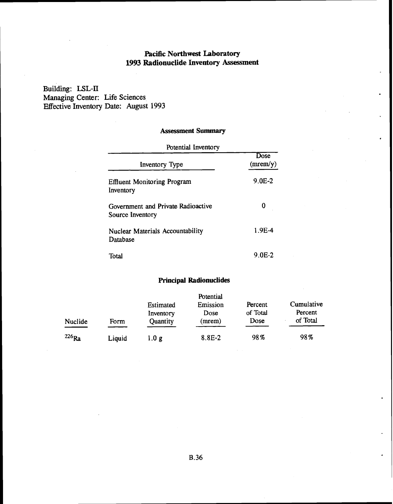Building: **LSL-I1**  Managing Center: Life Sciences Effective Inventory Date: August 1993

#### **Assessment Summary**

| Potential Inventory                                    |                  |  |  |  |
|--------------------------------------------------------|------------------|--|--|--|
| Inventory Type                                         | Dose<br>(mrem/y) |  |  |  |
| <b>Effluent Monitoring Program</b><br>Inventory        | $9.0E-2$         |  |  |  |
| Government and Private Radioactive<br>Source Inventory | 0                |  |  |  |
| Nuclear Materials Accountability<br>Database           | $1.9E-4$         |  |  |  |
| Total                                                  | 9.0E-2           |  |  |  |

| Nuclide     | Form   | Estimated<br>Inventory<br>Quantity | Potential<br>Emission<br>Dose<br>(mrem) | Percent<br>of Total<br>Dose | Cumulative<br>Percent<br>of Total |
|-------------|--------|------------------------------------|-----------------------------------------|-----------------------------|-----------------------------------|
| $^{226}$ Ra | Liquid | 1.0 g                              | 8.8E-2                                  | 98%                         | 98%                               |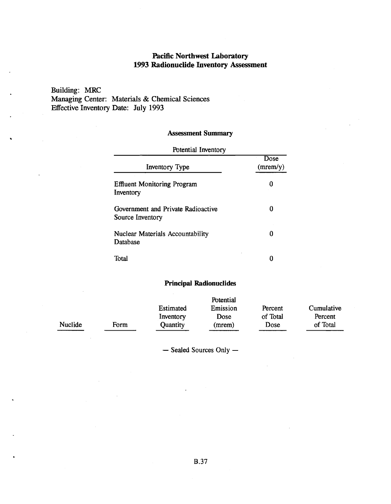Building: MRC Managing Center: Materials & Chemical Sciences Effective Inventory Date: July 1993

#### **Assessment Summary**

| Potential Inventory                                    |                  |  |  |  |
|--------------------------------------------------------|------------------|--|--|--|
| Inventory Type                                         | Dose<br>(mrem/y) |  |  |  |
| <b>Effluent Monitoring Program</b><br>Inventory        |                  |  |  |  |
| Government and Private Radioactive<br>Source Inventory |                  |  |  |  |
| Nuclear Materials Accountability<br>Database           |                  |  |  |  |
| Total                                                  |                  |  |  |  |

## **Principal Radionuclides**

|         |      |           | Potential |          |            |
|---------|------|-----------|-----------|----------|------------|
|         |      | Estimated | Emission  | Percent  | Cumulative |
|         |      | Inventory | Dose      | of Total | Percent    |
| Nuclide | Form | Quantity  | (mrem)    | Dose     | of Total   |

- Sealed Sources Only -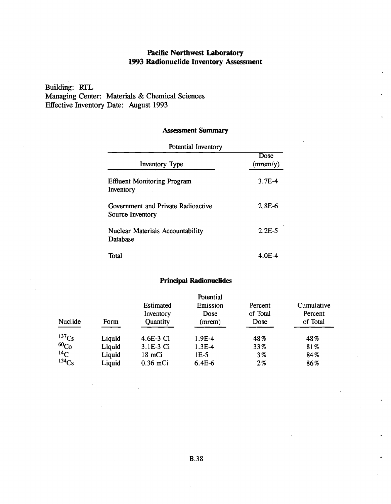Building: RTL Managing Center: Materials & Chemical Sciences Effective Inventory Date: August 1993

#### **Assessment Summary**

| Potential Inventory                                    |                         |
|--------------------------------------------------------|-------------------------|
| Inventory Type                                         | <b>Dose</b><br>(mrem/v) |
| <b>Effluent Monitoring Program</b><br>Inventory        | $3.7E - 4$              |
| Government and Private Radioactive<br>Source Inventory | $2.8E-6$                |
| <b>Nuclear Materials Accountability</b><br>Database    | $2.2E-5$                |
| Total                                                  | 4.0E-4                  |

# **Principal Radionuclides**

| Nuclide                      | Form                       | Estimated<br>Inventory<br>Quantity   | Potential<br>Emission<br>Dose<br>(mrem) | Percent<br>of Total<br>Dose | Cumulative<br>Percent<br>of Total |
|------------------------------|----------------------------|--------------------------------------|-----------------------------------------|-----------------------------|-----------------------------------|
| $137$ Cs<br>60 <sub>Co</sub> | Liquid<br>Liquid<br>Liquid | 4.6E-3 Ci<br>$3.1E-3$ Ci<br>$18$ mCi | $1.9E-4$<br>$1.3E-4$<br>1E-5            | 48%<br>33%<br>$3\%$         | 48%<br>81%<br>84%                 |
| $^{14}C$<br>$^{134}Cs$       | Liquid                     | $0.36$ mCi                           | $6.4E - 6$                              | $2\%$                       | 86%                               |

 $\sim$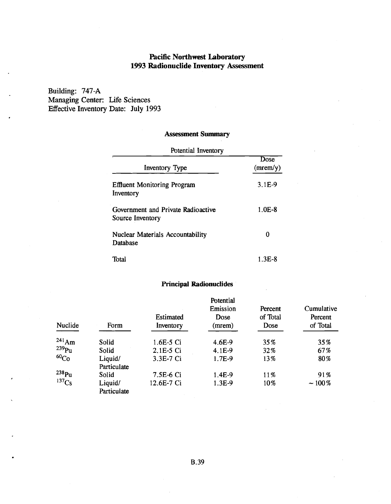Building: 747-A Managing Center: Life Sciences Effective Inventory Date: July 1993

## **Assessment Summary**

| Potential Inventory                                    |                  |  |  |  |
|--------------------------------------------------------|------------------|--|--|--|
| Inventory Type                                         | Dose<br>(mrem/y) |  |  |  |
| <b>Effluent Monitoring Program</b><br>Inventory        | $3.1E-9$         |  |  |  |
| Government and Private Radioactive<br>Source Inventory | $1.0E-8$         |  |  |  |
| <b>Nuclear Materials Accountability</b><br>Database    | 0                |  |  |  |
| Total                                                  | 1.3E-8           |  |  |  |

| Nuclide           | Form                   | Estimated<br>Inventory | Potential<br>Emission<br>Dose<br>(mrem) | Percent<br>of Total<br>Dose | Cumulative<br>Percent<br>of Total |
|-------------------|------------------------|------------------------|-----------------------------------------|-----------------------------|-----------------------------------|
| $^{241}Am$        | Solid                  | $1.6E-5$ Ci            | $4.6E-9$                                | 35%                         | $35\%$                            |
| 239 <sub>Pu</sub> | Solid                  | 2.1E-5 Ci              | $4.1E-9$                                | 32%                         | 67%                               |
| 60 <sub>Co</sub>  | Liquid/<br>Particulate | 3.3E-7 Ci              | 1.7E-9                                  | 13%                         | 80%                               |
| 238 <sub>Pu</sub> | Solid                  | 7.5E-6 Ci              | $1.4E-9$                                | 11%                         | 91%                               |
| 137C <sub>S</sub> | Liquid/<br>Particulate | 12.6E-7 Ci             | $1.3E-9$                                | 10%                         | $-100\%$                          |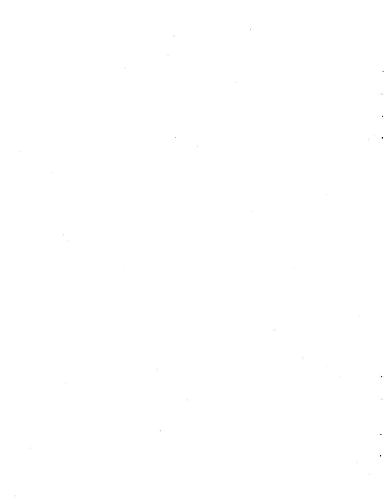$\label{eq:2.1} \frac{1}{\sqrt{2}}\int_{\mathbb{R}^3}\frac{1}{\sqrt{2}}\left(\frac{1}{\sqrt{2}}\right)^2\frac{1}{\sqrt{2}}\left(\frac{1}{\sqrt{2}}\right)^2\frac{1}{\sqrt{2}}\left(\frac{1}{\sqrt{2}}\right)^2\frac{1}{\sqrt{2}}\left(\frac{1}{\sqrt{2}}\right)^2.$ 

 $\label{eq:2.1} \mathcal{L}^{\text{max}}_{\text{max}}(\mathbf{z}^{\text{max}}_{\text{max}}, \mathbf{z}^{\text{max}}_{\text{max}})$ 

 $\label{eq:2.1} \frac{1}{2}\sum_{i=1}^n\frac{1}{2}\sum_{j=1}^n\frac{1}{2}\sum_{j=1}^n\frac{1}{2}\sum_{j=1}^n\frac{1}{2}\sum_{j=1}^n\frac{1}{2}\sum_{j=1}^n\frac{1}{2}\sum_{j=1}^n\frac{1}{2}\sum_{j=1}^n\frac{1}{2}\sum_{j=1}^n\frac{1}{2}\sum_{j=1}^n\frac{1}{2}\sum_{j=1}^n\frac{1}{2}\sum_{j=1}^n\frac{1}{2}\sum_{j=1}^n\frac{1}{2}\sum_{j=1}^n\$ 

 $\mathcal{A}_{\mathcal{A}}$  $\label{eq:2} \frac{1}{2} \int_{\mathbb{R}^3} \frac{d^2}{dx^2} \, dx$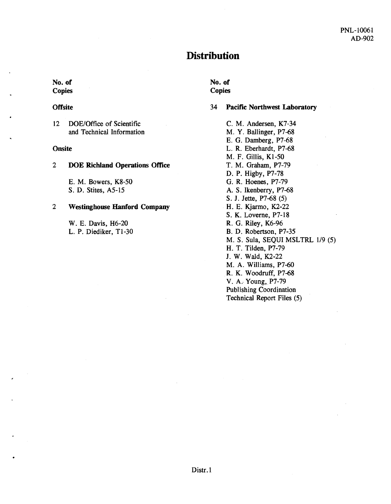# **Distribution**

# **No. of Copies**

#### **Offsite**

12 DOE/Office of Scientific and Technical Information

### **Onsite**

2 **DOE Richland Operations Office** 

E. M. Bowers, K8-50 S. D. Stites, A5-15

#### 2 **Westinghouse Hanford Company**

W. E. Davis, H6-20 L. P. Diediker, TI-30

# **No. of Copies**

#### 34 **Pacific Northwest Laboratory**

C. M. Andersen, K7-34 M. Y. Ballinger, P7-68 E. G. Damberg, P7-68 L. R. Eberhardt, P7-68 M. F. Gillis, K1-50 T. M. Graham, P7-79 D. P. Higby, P7-78 G. R. Hoenes, P7-79 A. S. Ikenberry, P7-68 S. J. Jette, P7-68 (5) H. E. Kjarmo, K2-22 S. K. Loverne, P7-18 R. G. Riley, K6-96 B. D. Robertson, P7-35 M. S. Sula, SEQUI MSLTRL 1/9 (5) H. T. Tilden, P7-79 J. W. Wald, K2-22 M. A. Williams, P7-60 R. K. Woodruff, P7-68 V. A. Young, P7-79 Publishing Coordination Technical Report Files (5)